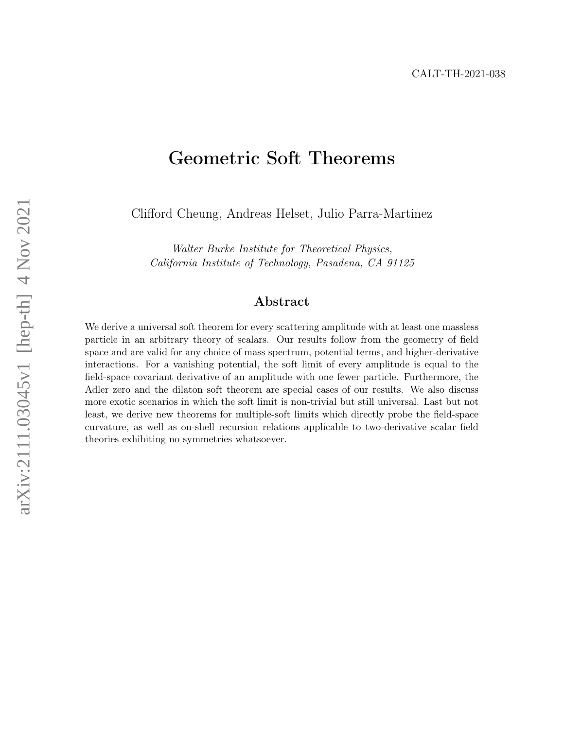# <span id="page-0-0"></span>Geometric Soft Theorems

Clifford Cheung, Andreas Helset, Julio Parra-Martinez

Walter Burke Institute for Theoretical Physics, California Institute of Technology, Pasadena, CA 91125

### Abstract

We derive a universal soft theorem for every scattering amplitude with at least one massless particle in an arbitrary theory of scalars. Our results follow from the geometry of field space and are valid for any choice of mass spectrum, potential terms, and higher-derivative interactions. For a vanishing potential, the soft limit of every amplitude is equal to the field-space covariant derivative of an amplitude with one fewer particle. Furthermore, the Adler zero and the dilaton soft theorem are special cases of our results. We also discuss more exotic scenarios in which the soft limit is non-trivial but still universal. Last but not least, we derive new theorems for multiple-soft limits which directly probe the field-space curvature, as well as on-shell recursion relations applicable to two-derivative scalar field theories exhibiting no symmetries whatsoever.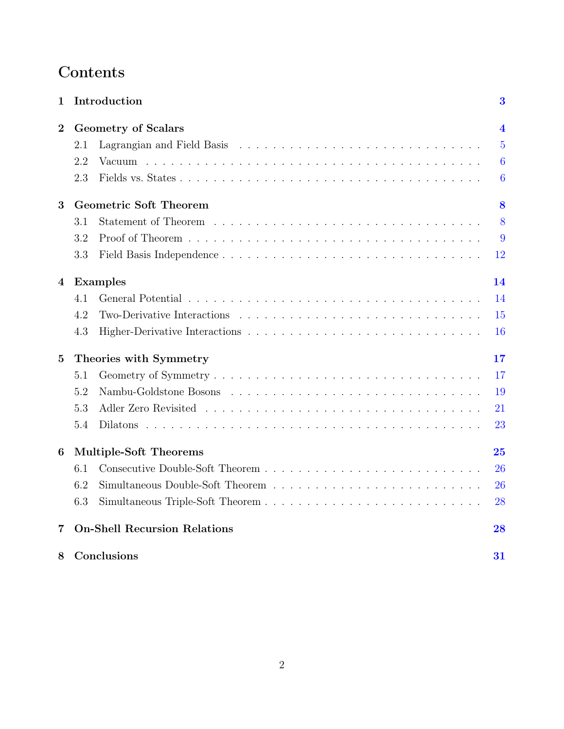# Contents

| $\mathbf{1}$     |                               | Introduction                                                                                               | $\bf{3}$       |
|------------------|-------------------------------|------------------------------------------------------------------------------------------------------------|----------------|
| $\boldsymbol{2}$ |                               | <b>Geometry of Scalars</b>                                                                                 |                |
|                  | 2.1                           |                                                                                                            | $\overline{5}$ |
|                  | 2.2                           |                                                                                                            | $\overline{6}$ |
|                  | 2.3                           |                                                                                                            | 6              |
| 3                | <b>Geometric Soft Theorem</b> |                                                                                                            |                |
|                  | 3.1                           |                                                                                                            | 8              |
|                  | 3.2                           |                                                                                                            | 9              |
|                  | 3.3                           |                                                                                                            | 12             |
| $\overline{4}$   | <b>Examples</b><br>14         |                                                                                                            |                |
|                  | 4.1                           |                                                                                                            | 14             |
|                  | 4.2                           | Two-Derivative Interactions $\ldots \ldots \ldots \ldots \ldots \ldots \ldots \ldots \ldots \ldots \ldots$ | 15             |
|                  | 4.3                           |                                                                                                            | 16             |
| $\overline{5}$   | Theories with Symmetry<br>17  |                                                                                                            |                |
|                  | 5.1                           |                                                                                                            | 17             |
|                  | 5.2                           |                                                                                                            | 19             |
|                  | 5.3                           |                                                                                                            | 21             |
|                  | 5.4                           |                                                                                                            | 23             |
| 6                | <b>Multiple-Soft Theorems</b> |                                                                                                            | 25             |
|                  | 6.1                           |                                                                                                            | 26             |
|                  | 6.2                           |                                                                                                            | 26             |
|                  | 6.3                           |                                                                                                            | 28             |
| 7                |                               | <b>On-Shell Recursion Relations</b>                                                                        | 28             |
| 8                | Conclusions                   |                                                                                                            | 31             |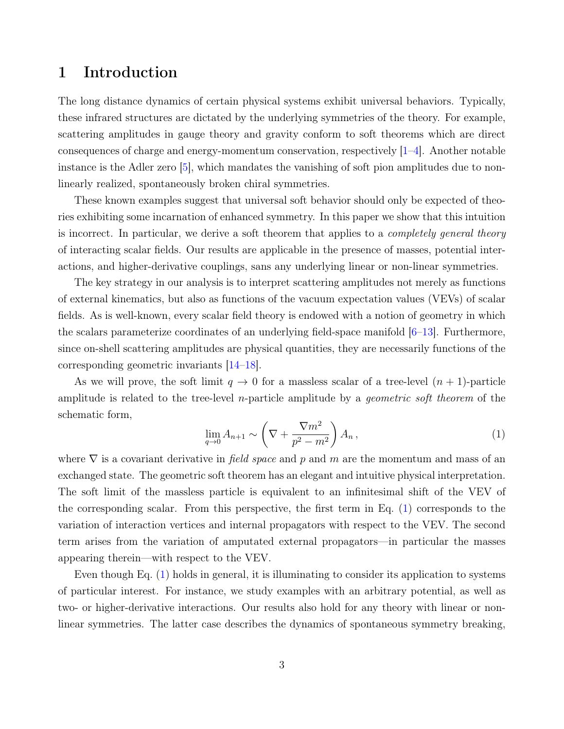# <span id="page-2-0"></span>1 Introduction

The long distance dynamics of certain physical systems exhibit universal behaviors. Typically, these infrared structures are dictated by the underlying symmetries of the theory. For example, scattering amplitudes in gauge theory and gravity conform to soft theorems which are direct consequences of charge and energy-momentum conservation, respectively [\[1–](#page-32-0)[4\]](#page-32-1). Another notable instance is the Adler zero [\[5\]](#page-32-2), which mandates the vanishing of soft pion amplitudes due to nonlinearly realized, spontaneously broken chiral symmetries.

These known examples suggest that universal soft behavior should only be expected of theories exhibiting some incarnation of enhanced symmetry. In this paper we show that this intuition is incorrect. In particular, we derive a soft theorem that applies to a *completely general theory* of interacting scalar fields. Our results are applicable in the presence of masses, potential interactions, and higher-derivative couplings, sans any underlying linear or non-linear symmetries.

The key strategy in our analysis is to interpret scattering amplitudes not merely as functions of external kinematics, but also as functions of the vacuum expectation values (VEVs) of scalar fields. As is well-known, every scalar field theory is endowed with a notion of geometry in which the scalars parameterize coordinates of an underlying field-space manifold [\[6–](#page-32-3)[13\]](#page-33-0). Furthermore, since on-shell scattering amplitudes are physical quantities, they are necessarily functions of the corresponding geometric invariants [\[14–](#page-33-1)[18\]](#page-33-2).

As we will prove, the soft limit  $q \to 0$  for a massless scalar of a tree-level  $(n + 1)$ -particle amplitude is related to the tree-level *n*-particle amplitude by a *geometric soft theorem* of the schematic form,

<span id="page-2-1"></span>
$$
\lim_{q \to 0} A_{n+1} \sim \left(\nabla + \frac{\nabla m^2}{p^2 - m^2}\right) A_n, \tag{1}
$$

where  $\nabla$  is a covariant derivative in *field space* and p and m are the momentum and mass of an exchanged state. The geometric soft theorem has an elegant and intuitive physical interpretation. The soft limit of the massless particle is equivalent to an infinitesimal shift of the VEV of the corresponding scalar. From this perspective, the first term in Eq. [\(1\)](#page-2-1) corresponds to the variation of interaction vertices and internal propagators with respect to the VEV. The second term arises from the variation of amputated external propagators—in particular the masses appearing therein—with respect to the VEV.

Even though Eq. [\(1\)](#page-2-1) holds in general, it is illuminating to consider its application to systems of particular interest. For instance, we study examples with an arbitrary potential, as well as two- or higher-derivative interactions. Our results also hold for any theory with linear or nonlinear symmetries. The latter case describes the dynamics of spontaneous symmetry breaking,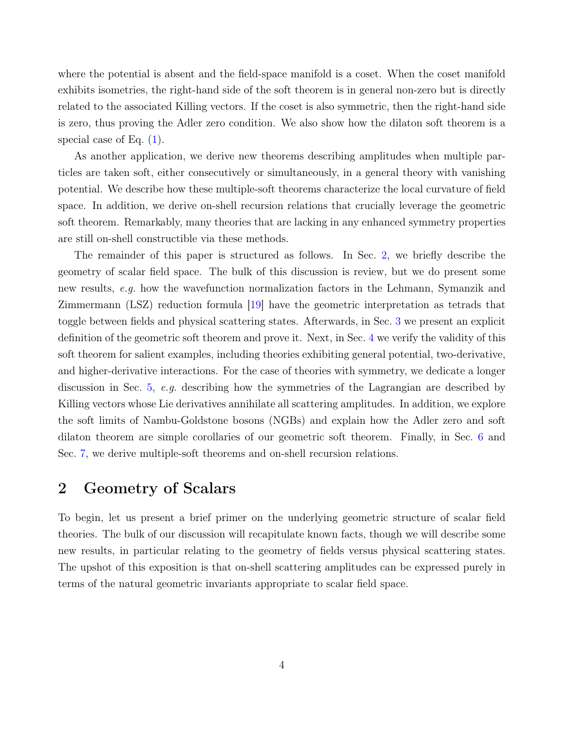where the potential is absent and the field-space manifold is a coset. When the coset manifold exhibits isometries, the right-hand side of the soft theorem is in general non-zero but is directly related to the associated Killing vectors. If the coset is also symmetric, then the right-hand side is zero, thus proving the Adler zero condition. We also show how the dilaton soft theorem is a special case of Eq. [\(1\)](#page-2-1).

As another application, we derive new theorems describing amplitudes when multiple particles are taken soft, either consecutively or simultaneously, in a general theory with vanishing potential. We describe how these multiple-soft theorems characterize the local curvature of field space. In addition, we derive on-shell recursion relations that crucially leverage the geometric soft theorem. Remarkably, many theories that are lacking in any enhanced symmetry properties are still on-shell constructible via these methods.

The remainder of this paper is structured as follows. In Sec. [2,](#page-3-0) we briefly describe the geometry of scalar field space. The bulk of this discussion is review, but we do present some new results, e.g. how the wavefunction normalization factors in the Lehmann, Symanzik and Zimmermann (LSZ) reduction formula [\[19\]](#page-33-3) have the geometric interpretation as tetrads that toggle between fields and physical scattering states. Afterwards, in Sec. [3](#page-7-0) we present an explicit definition of the geometric soft theorem and prove it. Next, in Sec. [4](#page-13-0) we verify the validity of this soft theorem for salient examples, including theories exhibiting general potential, two-derivative, and higher-derivative interactions. For the case of theories with symmetry, we dedicate a longer discussion in Sec. [5,](#page-16-0) e.g. describing how the symmetries of the Lagrangian are described by Killing vectors whose Lie derivatives annihilate all scattering amplitudes. In addition, we explore the soft limits of Nambu-Goldstone bosons (NGBs) and explain how the Adler zero and soft dilaton theorem are simple corollaries of our geometric soft theorem. Finally, in Sec. [6](#page-24-0) and Sec. [7,](#page-27-1) we derive multiple-soft theorems and on-shell recursion relations.

# <span id="page-3-0"></span>2 Geometry of Scalars

To begin, let us present a brief primer on the underlying geometric structure of scalar field theories. The bulk of our discussion will recapitulate known facts, though we will describe some new results, in particular relating to the geometry of fields versus physical scattering states. The upshot of this exposition is that on-shell scattering amplitudes can be expressed purely in terms of the natural geometric invariants appropriate to scalar field space.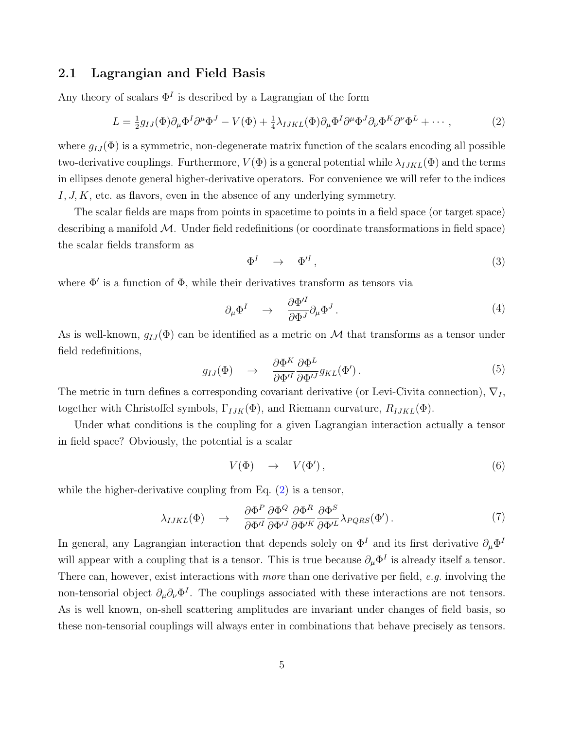### <span id="page-4-0"></span>2.1 Lagrangian and Field Basis

Any theory of scalars  $\Phi^I$  is described by a Lagrangian of the form

<span id="page-4-1"></span>
$$
L = \frac{1}{2}g_{IJ}(\Phi)\partial_\mu\Phi^I\partial^\mu\Phi^J - V(\Phi) + \frac{1}{4}\lambda_{IJKL}(\Phi)\partial_\mu\Phi^I\partial^\mu\Phi^J\partial_\nu\Phi^K\partial^\nu\Phi^L + \cdots,
$$
 (2)

where  $g_{IJ}(\Phi)$  is a symmetric, non-degenerate matrix function of the scalars encoding all possible two-derivative couplings. Furthermore,  $V(\Phi)$  is a general potential while  $\lambda_{IJKL}(\Phi)$  and the terms in ellipses denote general higher-derivative operators. For convenience we will refer to the indices  $I, J, K$ , etc. as flavors, even in the absence of any underlying symmetry.

The scalar fields are maps from points in spacetime to points in a field space (or target space) describing a manifold  $\mathcal{M}$ . Under field redefinitions (or coordinate transformations in field space) the scalar fields transform as

$$
\Phi^I \quad \to \quad \Phi'^I \,, \tag{3}
$$

where  $\Phi'$  is a function of  $\Phi$ , while their derivatives transform as tensors via

$$
\partial_{\mu} \Phi^{I} \quad \rightarrow \quad \frac{\partial \Phi^{\prime I}}{\partial \Phi^{J}} \partial_{\mu} \Phi^{J} \,. \tag{4}
$$

As is well-known,  $q_{IJ}(\Phi)$  can be identified as a metric on M that transforms as a tensor under field redefinitions,

$$
g_{IJ}(\Phi) \quad \to \quad \frac{\partial \Phi^K}{\partial \Phi'^I} \frac{\partial \Phi^L}{\partial \Phi'^J} g_{KL}(\Phi'). \tag{5}
$$

The metric in turn defines a corresponding covariant derivative (or Levi-Civita connection),  $\nabla_I$ , together with Christoffel symbols,  $\Gamma_{IJK}(\Phi)$ , and Riemann curvature,  $R_{IJKL}(\Phi)$ .

Under what conditions is the coupling for a given Lagrangian interaction actually a tensor in field space? Obviously, the potential is a scalar

$$
V(\Phi) \quad \rightarrow \quad V(\Phi'), \tag{6}
$$

while the higher-derivative coupling from Eq.  $(2)$  is a tensor,

$$
\lambda_{IJKL}(\Phi) \quad \to \quad \frac{\partial \Phi^P}{\partial \Phi'^I} \frac{\partial \Phi^Q}{\partial \Phi'^J} \frac{\partial \Phi^R}{\partial \Phi'^K} \frac{\partial \Phi^S}{\partial \Phi'^L} \lambda_{PQRS}(\Phi'). \tag{7}
$$

In general, any Lagrangian interaction that depends solely on  $\Phi^I$  and its first derivative  $\partial_\mu \Phi^I$ will appear with a coupling that is a tensor. This is true because  $\partial_{\mu} \Phi^{I}$  is already itself a tensor. There can, however, exist interactions with more than one derivative per field, e.g. involving the non-tensorial object  $\partial_{\mu}\partial_{\nu}\Phi^{I}$ . The couplings associated with these interactions are not tensors. As is well known, on-shell scattering amplitudes are invariant under changes of field basis, so these non-tensorial couplings will always enter in combinations that behave precisely as tensors.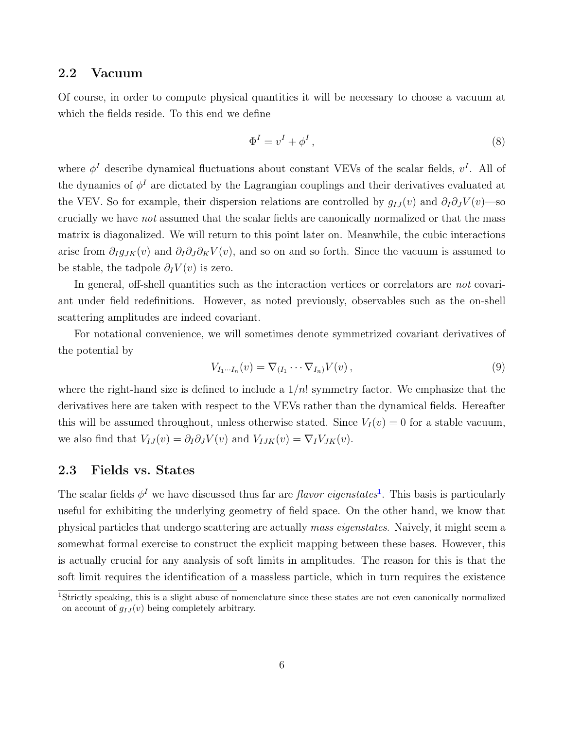### <span id="page-5-0"></span>2.2 Vacuum

Of course, in order to compute physical quantities it will be necessary to choose a vacuum at which the fields reside. To this end we define

$$
\Phi^I = v^I + \phi^I \,,\tag{8}
$$

where  $\phi^I$  describe dynamical fluctuations about constant VEVs of the scalar fields,  $v^I$ . All of the dynamics of  $\phi^I$  are dictated by the Lagrangian couplings and their derivatives evaluated at the VEV. So for example, their dispersion relations are controlled by  $g_{IJ}(v)$  and  $\partial_I \partial_J V(v)$ —so crucially we have not assumed that the scalar fields are canonically normalized or that the mass matrix is diagonalized. We will return to this point later on. Meanwhile, the cubic interactions arise from  $\partial_{I}g_{JK}(v)$  and  $\partial_{I}\partial_{J}\partial_{K}V(v)$ , and so on and so forth. Since the vacuum is assumed to be stable, the tadpole  $\partial_I V(v)$  is zero.

In general, off-shell quantities such as the interaction vertices or correlators are not covariant under field redefinitions. However, as noted previously, observables such as the on-shell scattering amplitudes are indeed covariant.

For notational convenience, we will sometimes denote symmetrized covariant derivatives of the potential by

$$
V_{I_1\cdots I_n}(v) = \nabla_{(I_1}\cdots \nabla_{I_n)}V(v) ,\qquad (9)
$$

where the right-hand size is defined to include a  $1/n!$  symmetry factor. We emphasize that the derivatives here are taken with respect to the VEVs rather than the dynamical fields. Hereafter this will be assumed throughout, unless otherwise stated. Since  $V_I(v) = 0$  for a stable vacuum, we also find that  $V_{IJ}(v) = \partial_I \partial_J V(v)$  and  $V_{IJK}(v) = \nabla_I V_{JK}(v)$ .

### <span id="page-5-1"></span>2.3 Fields vs. States

The scalar fields  $\phi^I$  we have discussed thus far are *flavor eigenstates*<sup>[1](#page-0-0)</sup>. This basis is particularly useful for exhibiting the underlying geometry of field space. On the other hand, we know that physical particles that undergo scattering are actually mass eigenstates. Naively, it might seem a somewhat formal exercise to construct the explicit mapping between these bases. However, this is actually crucial for any analysis of soft limits in amplitudes. The reason for this is that the soft limit requires the identification of a massless particle, which in turn requires the existence

<sup>&</sup>lt;sup>1</sup>Strictly speaking, this is a slight abuse of nomenclature since these states are not even canonically normalized on account of  $q_{IJ}(v)$  being completely arbitrary.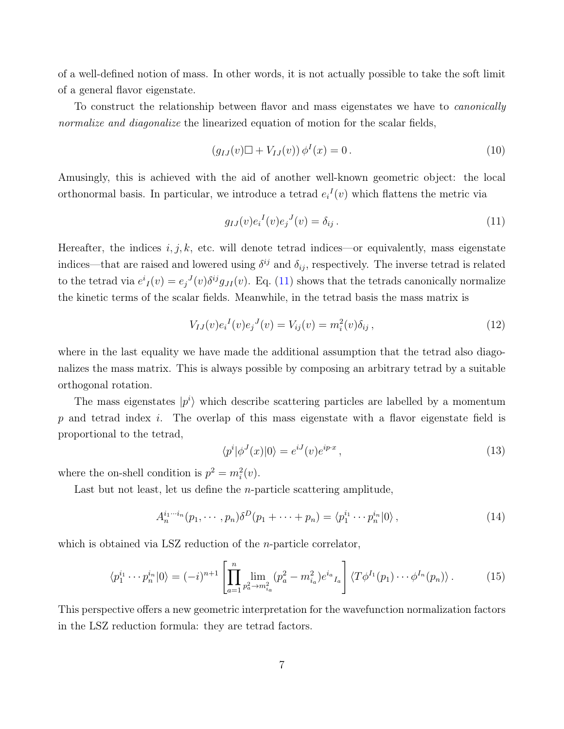of a well-defined notion of mass. In other words, it is not actually possible to take the soft limit of a general flavor eigenstate.

To construct the relationship between flavor and mass eigenstates we have to canonically normalize and diagonalize the linearized equation of motion for the scalar fields,

$$
(g_{IJ}(v)\Box + V_{IJ}(v))\,\phi^I(x) = 0\,. \tag{10}
$$

Amusingly, this is achieved with the aid of another well-known geometric object: the local orthonormal basis. In particular, we introduce a tetrad  $e_i^I(v)$  which flattens the metric via

<span id="page-6-0"></span>
$$
g_{IJ}(v)e_i{}^I(v)e_j{}^J(v) = \delta_{ij}.
$$
\n
$$
(11)
$$

Hereafter, the indices  $i, j, k$ , etc. will denote tetrad indices—or equivalently, mass eigenstate indices—that are raised and lowered using  $\delta^{ij}$  and  $\delta_{ij}$ , respectively. The inverse tetrad is related to the tetrad via  $e^i_I(v) = e_j{}^J(v) \delta^{ij} g_{JI}(v)$ . Eq. [\(11\)](#page-6-0) shows that the tetrads canonically normalize the kinetic terms of the scalar fields. Meanwhile, in the tetrad basis the mass matrix is

$$
V_{IJ}(v)e_i{}^I(v)e_j{}^J(v) = V_{ij}(v) = m_i^2(v)\delta_{ij},\qquad(12)
$$

where in the last equality we have made the additional assumption that the tetrad also diagonalizes the mass matrix. This is always possible by composing an arbitrary tetrad by a suitable orthogonal rotation.

The mass eigenstates  $|p^i\rangle$  which describe scattering particles are labelled by a momentum p and tetrad index i. The overlap of this mass eigenstate with a flavor eigenstate field is proportional to the tetrad,

$$
\langle p^i | \phi^J(x) | 0 \rangle = e^{iJ}(v)e^{ip\cdot x}, \qquad (13)
$$

where the on-shell condition is  $p^2 = m_i^2(v)$ .

Last but not least, let us define the n-particle scattering amplitude,

$$
A_n^{i_1 \cdots i_n}(p_1, \cdots, p_n) \delta^D(p_1 + \cdots + p_n) = \langle p_1^{i_1} \cdots p_n^{i_n} | 0 \rangle, \qquad (14)
$$

which is obtained via LSZ reduction of the *n*-particle correlator,

$$
\langle p_1^{i_1} \cdots p_n^{i_n} | 0 \rangle = (-i)^{n+1} \left[ \prod_{a=1}^n \lim_{p_a^2 \to m_{i_a}^2} (p_a^2 - m_{i_a}^2) e^{i_a} I_a \right] \langle T \phi^{I_1}(p_1) \cdots \phi^{I_n}(p_n) \rangle. \tag{15}
$$

This perspective offers a new geometric interpretation for the wavefunction normalization factors in the LSZ reduction formula: they are tetrad factors.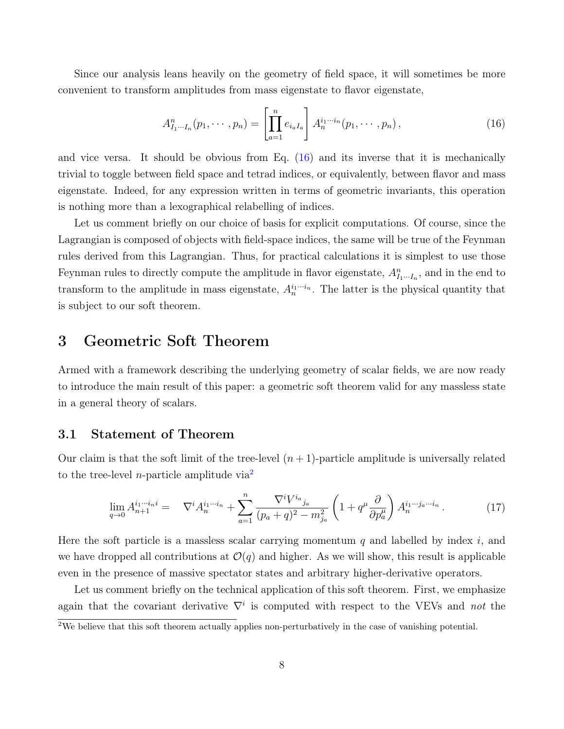Since our analysis leans heavily on the geometry of field space, it will sometimes be more convenient to transform amplitudes from mass eigenstate to flavor eigenstate,

<span id="page-7-2"></span>
$$
A_{I_1\cdots I_n}^n(p_1,\cdots,p_n) = \left[\prod_{a=1}^n e_{i_a I_a}\right] A_n^{i_1\cdots i_n}(p_1,\cdots,p_n),\tag{16}
$$

and vice versa. It should be obvious from Eq. [\(16\)](#page-7-2) and its inverse that it is mechanically trivial to toggle between field space and tetrad indices, or equivalently, between flavor and mass eigenstate. Indeed, for any expression written in terms of geometric invariants, this operation is nothing more than a lexographical relabelling of indices.

Let us comment briefly on our choice of basis for explicit computations. Of course, since the Lagrangian is composed of objects with field-space indices, the same will be true of the Feynman rules derived from this Lagrangian. Thus, for practical calculations it is simplest to use those Feynman rules to directly compute the amplitude in flavor eigenstate,  $A_{I_1\cdots I_n}^n$ , and in the end to transform to the amplitude in mass eigenstate,  $A_n^{i_1 \cdots i_n}$ . The latter is the physical quantity that is subject to our soft theorem.

# <span id="page-7-0"></span>3 Geometric Soft Theorem

Armed with a framework describing the underlying geometry of scalar fields, we are now ready to introduce the main result of this paper: a geometric soft theorem valid for any massless state in a general theory of scalars.

### <span id="page-7-1"></span>3.1 Statement of Theorem

Our claim is that the soft limit of the tree-level  $(n + 1)$ -particle amplitude is universally related to the tree-level *n*-particle amplitude via<sup>[2](#page-0-0)</sup>

<span id="page-7-3"></span>
$$
\lim_{q \to 0} A_{n+1}^{i_1 \cdots i_n i} = \nabla^i A_n^{i_1 \cdots i_n} + \sum_{a=1}^n \frac{\nabla^i V^{i_a}_{j_a}}{(p_a + q)^2 - m_{j_a}^2} \left( 1 + q^\mu \frac{\partial}{\partial p_a^\mu} \right) A_n^{i_1 \cdots j_a \cdots i_n} . \tag{17}
$$

Here the soft particle is a massless scalar carrying momentum q and labelled by index i, and we have dropped all contributions at  $\mathcal{O}(q)$  and higher. As we will show, this result is applicable even in the presence of massive spectator states and arbitrary higher-derivative operators.

Let us comment briefly on the technical application of this soft theorem. First, we emphasize again that the covariant derivative  $\nabla^i$  is computed with respect to the VEVs and not the

 $2W_e$  believe that this soft theorem actually applies non-perturbatively in the case of vanishing potential.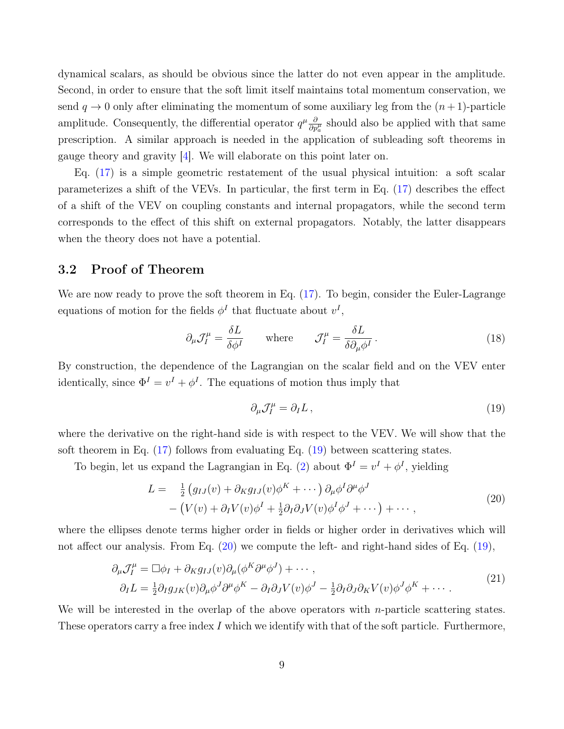dynamical scalars, as should be obvious since the latter do not even appear in the amplitude. Second, in order to ensure that the soft limit itself maintains total momentum conservation, we send  $q \to 0$  only after eliminating the momentum of some auxiliary leg from the  $(n+1)$ -particle amplitude. Consequently, the differential operator  $q^{\mu} \frac{\partial}{\partial p^{\mu}_{a}}$  should also be applied with that same prescription. A similar approach is needed in the application of subleading soft theorems in gauge theory and gravity [\[4\]](#page-32-1). We will elaborate on this point later on.

Eq. [\(17\)](#page-7-3) is a simple geometric restatement of the usual physical intuition: a soft scalar parameterizes a shift of the VEVs. In particular, the first term in Eq. [\(17\)](#page-7-3) describes the effect of a shift of the VEV on coupling constants and internal propagators, while the second term corresponds to the effect of this shift on external propagators. Notably, the latter disappears when the theory does not have a potential.

### <span id="page-8-0"></span>3.2 Proof of Theorem

We are now ready to prove the soft theorem in Eq.  $(17)$ . To begin, consider the Euler-Lagrange equations of motion for the fields  $\phi^I$  that fluctuate about  $v^I$ ,

$$
\partial_{\mu} \mathcal{J}_{I}^{\mu} = \frac{\delta L}{\delta \phi^{I}} \qquad \text{where} \qquad \mathcal{J}_{I}^{\mu} = \frac{\delta L}{\delta \partial_{\mu} \phi^{I}}. \tag{18}
$$

By construction, the dependence of the Lagrangian on the scalar field and on the VEV enter identically, since  $\Phi^I = v^I + \phi^I$ . The equations of motion thus imply that

<span id="page-8-1"></span>
$$
\partial_{\mu} \mathcal{J}_I^{\mu} = \partial_I L \,, \tag{19}
$$

where the derivative on the right-hand side is with respect to the VEV. We will show that the soft theorem in Eq. [\(17\)](#page-7-3) follows from evaluating Eq. [\(19\)](#page-8-1) between scattering states.

To begin, let us expand the Lagrangian in Eq. [\(2\)](#page-4-1) about  $\Phi^I = v^I + \phi^I$ , yielding

<span id="page-8-2"></span>
$$
L = \frac{1}{2} \left( g_{IJ}(v) + \partial_K g_{IJ}(v) \phi^K + \cdots \right) \partial_\mu \phi^I \partial^\mu \phi^J
$$
  
- 
$$
\left( V(v) + \partial_I V(v) \phi^I + \frac{1}{2} \partial_I \partial_J V(v) \phi^I \phi^J + \cdots \right) + \cdots,
$$
 (20)

where the ellipses denote terms higher order in fields or higher order in derivatives which will not affect our analysis. From Eq. [\(20\)](#page-8-2) we compute the left- and right-hand sides of Eq. [\(19\)](#page-8-1),

<span id="page-8-3"></span>
$$
\partial_{\mu} \mathcal{J}_{I}^{\mu} = \Box \phi_{I} + \partial_{K} g_{IJ}(v) \partial_{\mu} (\phi^{K} \partial^{\mu} \phi^{J}) + \cdots ,
$$
\n
$$
\partial_{I} L = \frac{1}{2} \partial_{I} g_{JK}(v) \partial_{\mu} \phi^{J} \partial^{\mu} \phi^{K} - \partial_{I} \partial_{J} V(v) \phi^{J} - \frac{1}{2} \partial_{I} \partial_{J} \partial_{K} V(v) \phi^{J} \phi^{K} + \cdots .
$$
\n(21)

We will be interested in the overlap of the above operators with *n*-particle scattering states. These operators carry a free index I which we identify with that of the soft particle. Furthermore,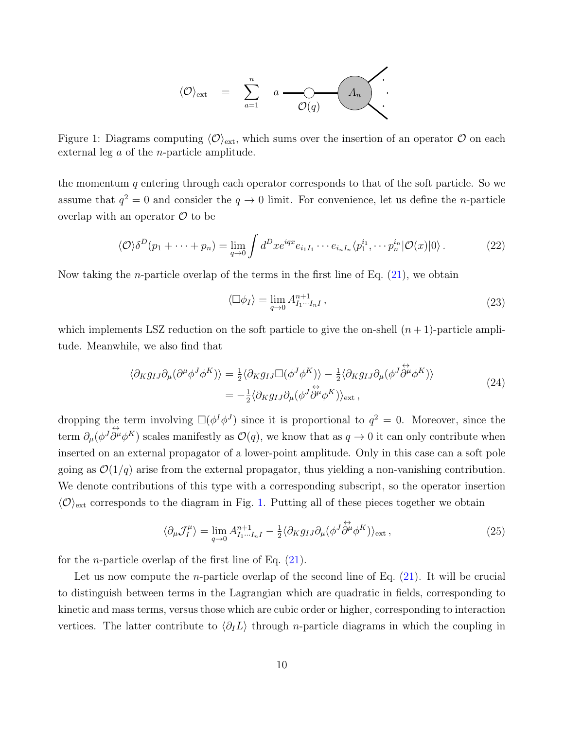

<span id="page-9-0"></span>Figure 1: Diagrams computing  $\langle \mathcal{O} \rangle_{\text{ext}}$ , which sums over the insertion of an operator  $\mathcal O$  on each external leg a of the n-particle amplitude.

the momentum q entering through each operator corresponds to that of the soft particle. So we assume that  $q^2 = 0$  and consider the  $q \to 0$  limit. For convenience, let us define the *n*-particle overlap with an operator  $\mathcal O$  to be

$$
\langle \mathcal{O} \rangle \delta^D(p_1 + \dots + p_n) = \lim_{q \to 0} \int d^D x e^{iqx} e_{i_1 I_1} \cdots e_{i_n I_n} \langle p_1^{i_1}, \cdots p_n^{i_n} | \mathcal{O}(x) | 0 \rangle. \tag{22}
$$

Now taking the *n*-particle overlap of the terms in the first line of Eq.  $(21)$ , we obtain

$$
\langle \Box \phi_I \rangle = \lim_{q \to 0} A_{I_1 \cdots I_n I}^{n+1}, \qquad (23)
$$

which implements LSZ reduction on the soft particle to give the on-shell  $(n + 1)$ -particle amplitude. Meanwhile, we also find that

$$
\langle \partial_K g_{IJ} \partial_\mu (\partial^\mu \phi^J \phi^K) \rangle = \frac{1}{2} \langle \partial_K g_{IJ} \Box (\phi^J \phi^K) \rangle - \frac{1}{2} \langle \partial_K g_{IJ} \partial_\mu (\phi^J \overleftrightarrow{\partial^\mu} \phi^K) \rangle = -\frac{1}{2} \langle \partial_K g_{IJ} \partial_\mu (\phi^J \overleftrightarrow{\partial^\mu} \phi^K) \rangle_{\text{ext}} ,
$$
(24)

dropping the term involving  $\square(\phi^I\phi^J)$  since it is proportional to  $q^2=0$ . Moreover, since the term  $\partial_{\mu}(\phi^{J} \partial^{\mu} \phi^{K})$  scales manifestly as  $\mathcal{O}(q)$ , we know that as  $q \to 0$  it can only contribute when inserted on an external propagator of a lower-point amplitude. Only in this case can a soft pole going as  $\mathcal{O}(1/q)$  arise from the external propagator, thus yielding a non-vanishing contribution. We denote contributions of this type with a corresponding subscript, so the operator insertion  $\langle \mathcal{O} \rangle_{\text{ext}}$  corresponds to the diagram in Fig. [1.](#page-9-0) Putting all of these pieces together we obtain

<span id="page-9-1"></span>
$$
\langle \partial_{\mu} \mathcal{J}_I^{\mu} \rangle = \lim_{q \to 0} A_{I_1 \cdots I_n I}^{n+1} - \frac{1}{2} \langle \partial_K g_{IJ} \partial_{\mu} (\phi^J \dot{\partial}^{\mu} \phi^K) \rangle_{\text{ext}} , \qquad (25)
$$

for the *n*-particle overlap of the first line of Eq.  $(21)$ .

Let us now compute the *n*-particle overlap of the second line of Eq.  $(21)$ . It will be crucial to distinguish between terms in the Lagrangian which are quadratic in fields, corresponding to kinetic and mass terms, versus those which are cubic order or higher, corresponding to interaction vertices. The latter contribute to  $\langle \partial_l L \rangle$  through n-particle diagrams in which the coupling in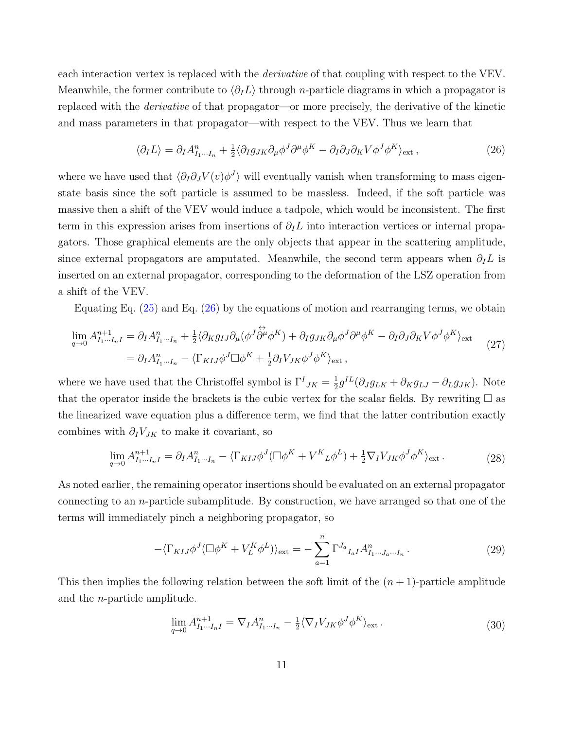each interaction vertex is replaced with the *derivative* of that coupling with respect to the VEV. Meanwhile, the former contribute to  $\langle \partial_I L \rangle$  through n-particle diagrams in which a propagator is replaced with the *derivative* of that propagator—or more precisely, the derivative of the kinetic and mass parameters in that propagator—with respect to the VEV. Thus we learn that

<span id="page-10-0"></span>
$$
\langle \partial_I L \rangle = \partial_I A_{I_1 \cdots I_n}^n + \frac{1}{2} \langle \partial_I g_{JK} \partial_\mu \phi^J \partial^\mu \phi^K - \partial_I \partial_J \partial_K V \phi^J \phi^K \rangle_{\text{ext}} , \tag{26}
$$

where we have used that  $\langle \partial_I \partial_J V (v) \phi^J \rangle$  will eventually vanish when transforming to mass eigenstate basis since the soft particle is assumed to be massless. Indeed, if the soft particle was massive then a shift of the VEV would induce a tadpole, which would be inconsistent. The first term in this expression arises from insertions of  $\partial_l L$  into interaction vertices or internal propagators. Those graphical elements are the only objects that appear in the scattering amplitude, since external propagators are amputated. Meanwhile, the second term appears when  $\partial_l L$  is inserted on an external propagator, corresponding to the deformation of the LSZ operation from a shift of the VEV.

Equating Eq.  $(25)$  and Eq.  $(26)$  by the equations of motion and rearranging terms, we obtain

$$
\lim_{q \to 0} A_{I_1 \cdots I_n I}^{n+1} = \partial_I A_{I_1 \cdots I_n}^n + \frac{1}{2} \langle \partial_K g_{IJ} \partial_\mu (\phi^J \overleftrightarrow{\partial^\mu} \phi^K) + \partial_I g_{JK} \partial_\mu \phi^J \partial^\mu \phi^K - \partial_I \partial_J \partial_K V \phi^J \phi^K \rangle_{\text{ext}}
$$
\n
$$
= \partial_I A_{I_1 \cdots I_n}^n - \langle \Gamma_{KIJ} \phi^J \Box \phi^K + \frac{1}{2} \partial_I V_{JK} \phi^J \phi^K \rangle_{\text{ext}},
$$
\n(27)

where we have used that the Christoffel symbol is  $\Gamma^I_{JK} = \frac{1}{2}$  $\frac{1}{2}g^{IL}(\partial_J g_{LK} + \partial_K g_{LJ} - \partial_L g_{JK})$ . Note that the operator inside the brackets is the cubic vertex for the scalar fields. By rewriting  $\Box$  as the linearized wave equation plus a difference term, we find that the latter contribution exactly combines with  $\partial_I V_{JK}$  to make it covariant, so

$$
\lim_{q \to 0} A_{I_1 \cdots I_n I}^{n+1} = \partial_I A_{I_1 \cdots I_n}^n - \langle \Gamma_{K I J} \phi^J (\Box \phi^K + V^K{}_L \phi^L) + \frac{1}{2} \nabla_I V_{JK} \phi^J \phi^K \rangle_{\text{ext}}.
$$
\n(28)

As noted earlier, the remaining operator insertions should be evaluated on an external propagator connecting to an *n*-particle subamplitude. By construction, we have arranged so that one of the terms will immediately pinch a neighboring propagator, so

$$
-\langle \Gamma_{KIJ}\phi^J(\Box \phi^K + V_L^K \phi^L) \rangle_{\text{ext}} = -\sum_{a=1}^n \Gamma^{J_a}{}_{I_aI} A_{I_1 \cdots J_a \cdots I_n}^n. \tag{29}
$$

This then implies the following relation between the soft limit of the  $(n + 1)$ -particle amplitude and the n-particle amplitude.

<span id="page-10-1"></span>
$$
\lim_{q \to 0} A_{I_1 \cdots I_n I}^{n+1} = \nabla_I A_{I_1 \cdots I_n}^n - \frac{1}{2} \langle \nabla_I V_{JK} \phi^J \phi^K \rangle_{\text{ext}}.
$$
\n(30)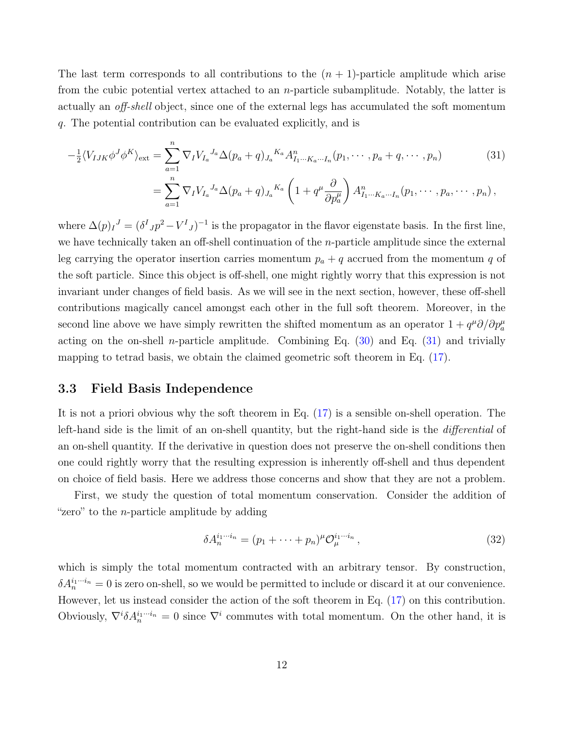The last term corresponds to all contributions to the  $(n + 1)$ -particle amplitude which arise from the cubic potential vertex attached to an n-particle subamplitude. Notably, the latter is actually an off-shell object, since one of the external legs has accumulated the soft momentum q. The potential contribution can be evaluated explicitly, and is

<span id="page-11-1"></span>
$$
-\frac{1}{2}\langle V_{IJK}\phi^{J}\phi^{K}\rangle_{\text{ext}} = \sum_{a=1}^{n} \nabla_{I} V_{I_{a}}{}^{J_{a}} \Delta(p_{a} + q)_{J_{a}}{}^{K_{a}} A_{I_{1}\cdots K_{a}\cdots I_{n}}^{n}(p_{1}, \cdots, p_{a} + q, \cdots, p_{n})
$$
(31)  

$$
= \sum_{a=1}^{n} \nabla_{I} V_{I_{a}}{}^{J_{a}} \Delta(p_{a} + q)_{J_{a}}{}^{K_{a}} \left(1 + q^{\mu} \frac{\partial}{\partial p_{a}^{\mu}}\right) A_{I_{1}\cdots K_{a}\cdots I_{n}}^{n}(p_{1}, \cdots, p_{a}, \cdots, p_{n}),
$$

where  $\Delta(p)I^J = (\delta^I J p^2 - V^I J)^{-1}$  is the propagator in the flavor eigenstate basis. In the first line, we have technically taken an off-shell continuation of the  $n$ -particle amplitude since the external leg carrying the operator insertion carries momentum  $p_a + q$  accrued from the momentum q of the soft particle. Since this object is off-shell, one might rightly worry that this expression is not invariant under changes of field basis. As we will see in the next section, however, these off-shell contributions magically cancel amongst each other in the full soft theorem. Moreover, in the second line above we have simply rewritten the shifted momentum as an operator  $1 + q^{\mu} \partial / \partial p^{\mu}_{a}$ acting on the on-shell *n*-particle amplitude. Combining Eq.  $(30)$  and Eq.  $(31)$  and trivially mapping to tetrad basis, we obtain the claimed geometric soft theorem in Eq. [\(17\)](#page-7-3).

### <span id="page-11-0"></span>3.3 Field Basis Independence

It is not a priori obvious why the soft theorem in Eq. [\(17\)](#page-7-3) is a sensible on-shell operation. The left-hand side is the limit of an on-shell quantity, but the right-hand side is the differential of an on-shell quantity. If the derivative in question does not preserve the on-shell conditions then one could rightly worry that the resulting expression is inherently off-shell and thus dependent on choice of field basis. Here we address those concerns and show that they are not a problem.

First, we study the question of total momentum conservation. Consider the addition of "zero" to the *n*-particle amplitude by adding

<span id="page-11-2"></span>
$$
\delta A_n^{i_1\cdots i_n} = (p_1 + \cdots + p_n)^{\mu} \mathcal{O}_{\mu}^{i_1\cdots i_n},\tag{32}
$$

which is simply the total momentum contracted with an arbitrary tensor. By construction,  $\delta A_n^{i_1\cdots i_n} = 0$  is zero on-shell, so we would be permitted to include or discard it at our convenience. However, let us instead consider the action of the soft theorem in Eq. [\(17\)](#page-7-3) on this contribution. Obviously,  $\nabla^i \delta A_n^{i_1 \cdots i_n} = 0$  since  $\nabla^i$  commutes with total momentum. On the other hand, it is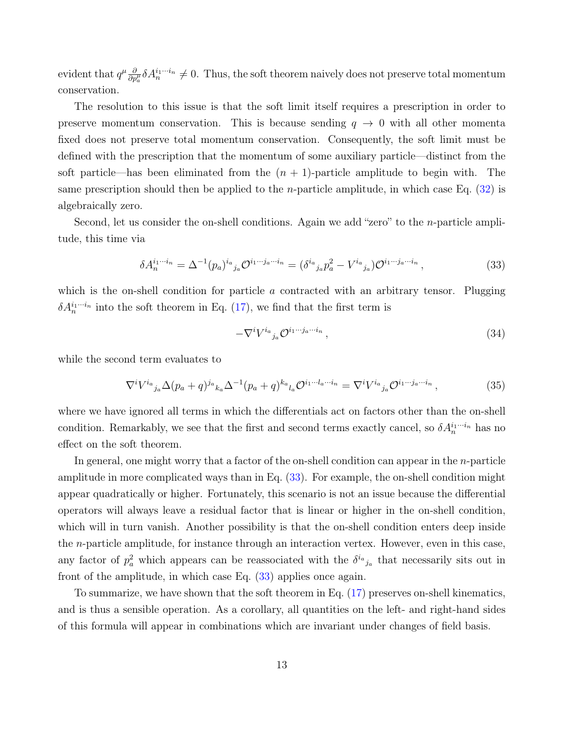evident that  $q^{\mu}\frac{\partial}{\partial p^{\mu}_a}\delta A_n^{i_1\cdots i_n}\neq 0$ . Thus, the soft theorem naively does not preserve total momentum conservation.

The resolution to this issue is that the soft limit itself requires a prescription in order to preserve momentum conservation. This is because sending  $q \to 0$  with all other momenta fixed does not preserve total momentum conservation. Consequently, the soft limit must be defined with the prescription that the momentum of some auxiliary particle—distinct from the soft particle—has been eliminated from the  $(n + 1)$ -particle amplitude to begin with. The same prescription should then be applied to the *n*-particle amplitude, in which case Eq.  $(32)$  is algebraically zero.

Second, let us consider the on-shell conditions. Again we add "zero" to the *n*-particle amplitude, this time via

<span id="page-12-0"></span>
$$
\delta A_n^{i_1 \cdots i_n} = \Delta^{-1} (p_a)^{i_a}{}_{j_a} \mathcal{O}^{i_1 \cdots j_a \cdots i_n} = (\delta^{i_a}{}_{j_a} p_a^2 - V^{i_a}{}_{j_a}) \mathcal{O}^{i_1 \cdots j_a \cdots i_n},\tag{33}
$$

which is the on-shell condition for particle  $a$  contracted with an arbitrary tensor. Plugging  $\delta A_n^{i_1 \cdots i_n}$  into the soft theorem in Eq. [\(17\)](#page-7-3), we find that the first term is

$$
-\nabla^i V^{i_a}{}_{j_a} \mathcal{O}^{i_1 \cdots j_a \cdots i_n} \,, \tag{34}
$$

while the second term evaluates to

$$
\nabla^i V^{i_a}{}_{j_a} \Delta(p_a+q)^{j_a}{}_{k_a} \Delta^{-1}(p_a+q)^{k_a}{}_{l_a} \mathcal{O}^{i_1 \cdots l_a \cdots i_n} = \nabla^i V^{i_a}{}_{j_a} \mathcal{O}^{i_1 \cdots j_a \cdots i_n},\tag{35}
$$

where we have ignored all terms in which the differentials act on factors other than the on-shell condition. Remarkably, we see that the first and second terms exactly cancel, so  $\delta A_n^{i_1\cdots i_n}$  has no effect on the soft theorem.

In general, one might worry that a factor of the on-shell condition can appear in the  $n$ -particle amplitude in more complicated ways than in Eq. [\(33\)](#page-12-0). For example, the on-shell condition might appear quadratically or higher. Fortunately, this scenario is not an issue because the differential operators will always leave a residual factor that is linear or higher in the on-shell condition, which will in turn vanish. Another possibility is that the on-shell condition enters deep inside the n-particle amplitude, for instance through an interaction vertex. However, even in this case, any factor of  $p_a^2$  which appears can be reassociated with the  $\delta^{i_a}{}_{j_a}$  that necessarily sits out in front of the amplitude, in which case Eq. [\(33\)](#page-12-0) applies once again.

To summarize, we have shown that the soft theorem in Eq. [\(17\)](#page-7-3) preserves on-shell kinematics, and is thus a sensible operation. As a corollary, all quantities on the left- and right-hand sides of this formula will appear in combinations which are invariant under changes of field basis.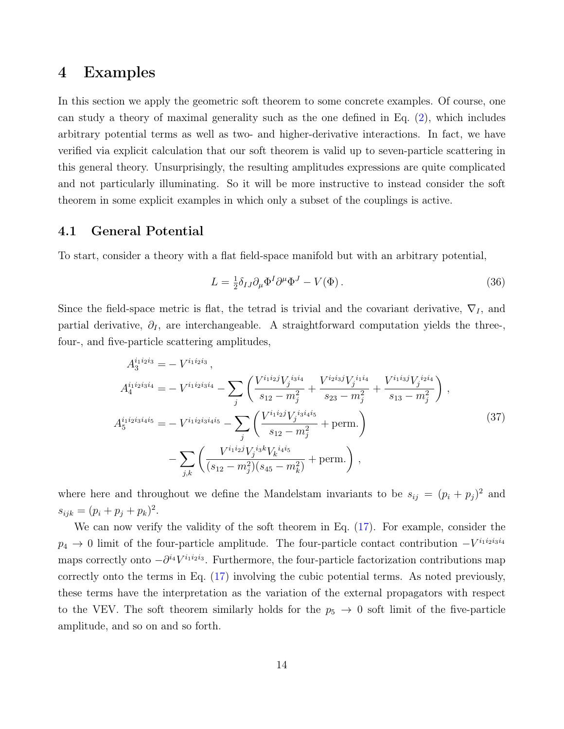### <span id="page-13-0"></span>4 Examples

In this section we apply the geometric soft theorem to some concrete examples. Of course, one can study a theory of maximal generality such as the one defined in Eq. [\(2\)](#page-4-1), which includes arbitrary potential terms as well as two- and higher-derivative interactions. In fact, we have verified via explicit calculation that our soft theorem is valid up to seven-particle scattering in this general theory. Unsurprisingly, the resulting amplitudes expressions are quite complicated and not particularly illuminating. So it will be more instructive to instead consider the soft theorem in some explicit examples in which only a subset of the couplings is active.

### <span id="page-13-1"></span>4.1 General Potential

To start, consider a theory with a flat field-space manifold but with an arbitrary potential,

$$
L = \frac{1}{2} \delta_{IJ} \partial_\mu \Phi^I \partial^\mu \Phi^J - V(\Phi). \tag{36}
$$

Since the field-space metric is flat, the tetrad is trivial and the covariant derivative,  $\nabla_I$ , and partial derivative,  $\partial_I$ , are interchangeable. A straightforward computation yields the three-, four-, and five-particle scattering amplitudes,

$$
A_4^{i_1 i_2 i_3 i_4} = -V^{i_1 i_2 i_3 i_4} - \sum_j \left( \frac{V^{i_1 i_2 j} V_j^{i_3 i_4}}{s_{12} - m_j^2} + \frac{V^{i_2 i_3 j} V_j^{i_1 i_4}}{s_{23} - m_j^2} + \frac{V^{i_1 i_3 j} V_j^{i_2 i_4}}{s_{13} - m_j^2} \right),
$$
  
\n
$$
A_5^{i_1 i_2 i_3 i_4 i_5} = -V^{i_1 i_2 i_3 i_4 i_5} - \sum_j \left( \frac{V^{i_1 i_2 j} V_j^{i_3 i_4 i_5}}{s_{12} - m_j^2} + \text{perm.} \right)
$$
  
\n
$$
- \sum_{j,k} \left( \frac{V^{i_1 i_2 j} V_j^{i_3 k} V_k^{i_4 i_5}}{(s_{12} - m_j^2)(s_{45} - m_k^2)} + \text{perm.} \right),
$$
\n(37)

where here and throughout we define the Mandelstam invariants to be  $s_{ij} = (p_i + p_j)^2$  and  $s_{ijk} = (p_i + p_j + p_k)^2.$ 

We can now verify the validity of the soft theorem in Eq. [\(17\)](#page-7-3). For example, consider the  $p_4 \to 0$  limit of the four-particle amplitude. The four-particle contact contribution  $-V^{i_1 i_2 i_3 i_4}$ maps correctly onto  $-\partial^{i_4}V^{i_1i_2i_3}$ . Furthermore, the four-particle factorization contributions map correctly onto the terms in Eq. [\(17\)](#page-7-3) involving the cubic potential terms. As noted previously, these terms have the interpretation as the variation of the external propagators with respect to the VEV. The soft theorem similarly holds for the  $p_5 \rightarrow 0$  soft limit of the five-particle amplitude, and so on and so forth.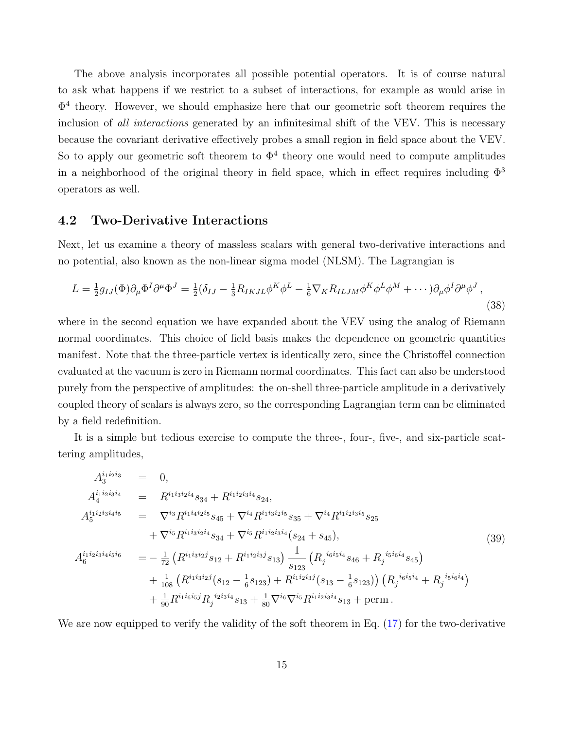The above analysis incorporates all possible potential operators. It is of course natural to ask what happens if we restrict to a subset of interactions, for example as would arise in  $\Phi^4$  theory. However, we should emphasize here that our geometric soft theorem requires the inclusion of all interactions generated by an infinitesimal shift of the VEV. This is necessary because the covariant derivative effectively probes a small region in field space about the VEV. So to apply our geometric soft theorem to  $\Phi^4$  theory one would need to compute amplitudes in a neighborhood of the original theory in field space, which in effect requires including  $\Phi^3$ operators as well.

#### <span id="page-14-0"></span>4.2 Two-Derivative Interactions

Next, let us examine a theory of massless scalars with general two-derivative interactions and no potential, also known as the non-linear sigma model (NLSM). The Lagrangian is

<span id="page-14-2"></span>
$$
L = \frac{1}{2}g_{IJ}(\Phi)\partial_\mu\Phi^I\partial^\mu\Phi^J = \frac{1}{2}(\delta_{IJ} - \frac{1}{3}R_{IKJL}\phi^K\phi^L - \frac{1}{6}\nabla_KR_{ILJM}\phi^K\phi^L\phi^M + \cdots)\partial_\mu\phi^I\partial^\mu\phi^J,
$$
\n(38)

where in the second equation we have expanded about the VEV using the analog of Riemann normal coordinates. This choice of field basis makes the dependence on geometric quantities manifest. Note that the three-particle vertex is identically zero, since the Christoffel connection evaluated at the vacuum is zero in Riemann normal coordinates. This fact can also be understood purely from the perspective of amplitudes: the on-shell three-particle amplitude in a derivatively coupled theory of scalars is always zero, so the corresponding Lagrangian term can be eliminated by a field redefinition.

It is a simple but tedious exercise to compute the three-, four-, five-, and six-particle scattering amplitudes,

<span id="page-14-1"></span>
$$
A_{4}^{i_1 i_2 i_3 i_4} = 0,
$$
  
\n
$$
A_{4}^{i_1 i_2 i_3 i_4 i_5} = \nabla^{i_1 i_3 i_2 i_4} s_{34} + R^{i_1 i_2 i_3 i_4} s_{24},
$$
  
\n
$$
A_{5}^{i_1 i_2 i_3 i_4 i_5} = \nabla^{i_3} R^{i_1 i_4 i_2 i_5} s_{45} + \nabla^{i_4} R^{i_1 i_3 i_2 i_5} s_{35} + \nabla^{i_4} R^{i_1 i_2 i_3 i_5} s_{25}
$$
  
\n
$$
+ \nabla^{i_5} R^{i_1 i_3 i_2 i_4} s_{34} + \nabla^{i_5} R^{i_1 i_2 i_3 i_4} (s_{24} + s_{45}),
$$
  
\n
$$
A_{6}^{i_1 i_2 i_3 i_4 i_5 i_6} = -\frac{1}{72} (R^{i_1 i_3 i_2 j} s_{12} + R^{i_1 i_2 i_3 j} s_{13}) \frac{1}{s_{123}} (R_j^{i_6 i_5 i_4} s_{46} + R_j^{i_5 i_6 i_4} s_{45})
$$
  
\n
$$
+ \frac{1}{108} (R^{i_1 i_3 i_2 j} (s_{12} - \frac{1}{6} s_{123}) + R^{i_1 i_2 i_3 j} (s_{13} - \frac{1}{6} s_{123})) (R_j^{i_6 i_5 i_4} + R_j^{i_5 i_6 i_4})
$$
  
\n
$$
+ \frac{1}{90} R^{i_1 i_6 i_5 j} R_j^{i_2 i_3 i_4} s_{13} + \frac{1}{80} \nabla^{i_6} \nabla^{i_5} R^{i_1 i_2 i_3 i_4} s_{13} + \text{perm.}
$$
\n(39)

We are now equipped to verify the validity of the soft theorem in Eq. [\(17\)](#page-7-3) for the two-derivative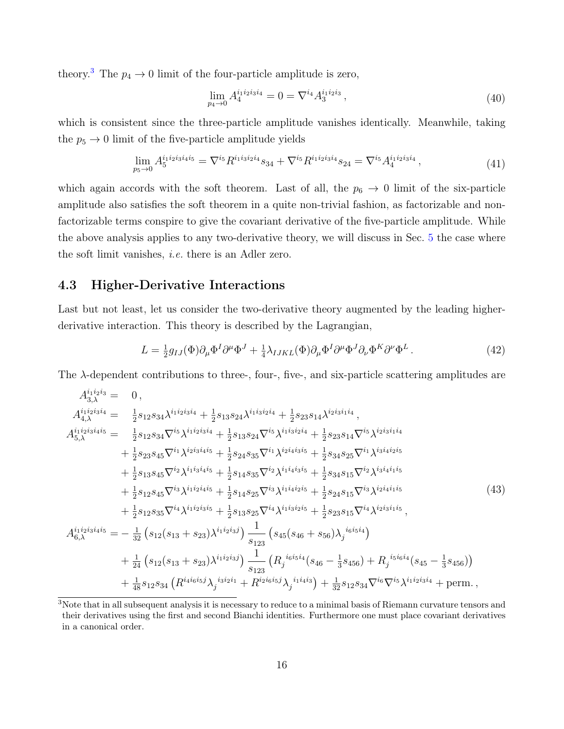theory.<sup>[3](#page-0-0)</sup> The  $p_4 \rightarrow 0$  limit of the four-particle amplitude is zero,

$$
\lim_{p_4 \to 0} A_4^{i_1 i_2 i_3 i_4} = 0 = \nabla^{i_4} A_3^{i_1 i_2 i_3},\tag{40}
$$

which is consistent since the three-particle amplitude vanishes identically. Meanwhile, taking the  $p_5 \rightarrow 0$  limit of the five-particle amplitude yields

$$
\lim_{p_5 \to 0} A_5^{i_1 i_2 i_3 i_4 i_5} = \nabla^{i_5} R^{i_1 i_3 i_2 i_4} s_{34} + \nabla^{i_5} R^{i_1 i_2 i_3 i_4} s_{24} = \nabla^{i_5} A_4^{i_1 i_2 i_3 i_4} ,\tag{41}
$$

which again accords with the soft theorem. Last of all, the  $p_6 \rightarrow 0$  limit of the six-particle amplitude also satisfies the soft theorem in a quite non-trivial fashion, as factorizable and nonfactorizable terms conspire to give the covariant derivative of the five-particle amplitude. While the above analysis applies to any two-derivative theory, we will discuss in Sec. [5](#page-16-0) the case where the soft limit vanishes, i.e. there is an Adler zero.

### <span id="page-15-0"></span>4.3 Higher-Derivative Interactions

Last but not least, let us consider the two-derivative theory augmented by the leading higherderivative interaction. This theory is described by the Lagrangian,

<span id="page-15-1"></span>
$$
L = \frac{1}{2}g_{IJ}(\Phi)\partial_{\mu}\Phi^{I}\partial^{\mu}\Phi^{J} + \frac{1}{4}\lambda_{IJKL}(\Phi)\partial_{\mu}\Phi^{I}\partial^{\mu}\Phi^{J}\partial_{\nu}\Phi^{K}\partial^{\nu}\Phi^{L}.
$$
\n(42)

The  $\lambda$ -dependent contributions to three-, four-, five-, and six-particle scattering amplitudes are

$$
A_{3,\lambda}^{i_1i_2i_3i_4} = 0,
$$
  
\n
$$
A_{4,\lambda}^{i_1i_2i_3i_4} = \frac{1}{2}s_{12}s_{34}\lambda^{i_1i_2i_3i_4} + \frac{1}{2}s_{13}s_{24}\lambda^{i_1i_3i_2i_4} + \frac{1}{2}s_{23}s_{14}\lambda^{i_2i_3i_1i_4},
$$
  
\n
$$
A_{5,\lambda}^{i_1i_2i_3i_4i_5} = \frac{1}{2}s_{12}s_{34}\nabla^{i_5}\lambda^{i_1i_2i_3i_4} + \frac{1}{2}s_{13}s_{24}\nabla^{i_5}\lambda^{i_1i_3i_2i_4} + \frac{1}{2}s_{23}s_{14}\nabla^{i_5}\lambda^{i_2i_3i_1i_4}
$$
  
\n
$$
+ \frac{1}{2}s_{23}s_{45}\nabla^{i_1}\lambda^{i_2i_3i_4i_5} + \frac{1}{2}s_{24}s_{35}\nabla^{i_1}\lambda^{i_2i_4i_3i_5} + \frac{1}{2}s_{34}s_{25}\nabla^{i_1}\lambda^{i_3i_4i_2i_5}
$$
  
\n
$$
+ \frac{1}{2}s_{13}s_{45}\nabla^{i_2}\lambda^{i_1i_3i_4i_5} + \frac{1}{2}s_{14}s_{35}\nabla^{i_2}\lambda^{i_1i_4i_3i_5} + \frac{1}{2}s_{34}s_{15}\nabla^{i_2}\lambda^{i_3i_4i_1i_5}
$$
  
\n
$$
+ \frac{1}{2}s_{12}s_{45}\nabla^{i_3}\lambda^{i_1i_2i_4i_5} + \frac{1}{2}s_{14}s_{25}\nabla^{i_3}\lambda^{i_1i_4i_2i_5} + \frac{1}{2}s_{24}s_{15}\nabla^{i_3}\lambda^{i_2i_4i_1i_5}
$$
  
\n
$$
+ \frac{1}{2}s_{12}s_{35}\nabla^{i_4}\lambda^{i_1i_2i_3i_5} + \frac{1}{2}s_{13}s_{25}\nabla^{i_4}\lambda
$$

<sup>3</sup>Note that in all subsequent analysis it is necessary to reduce to a minimal basis of Riemann curvature tensors and their derivatives using the first and second Bianchi identities. Furthermore one must place covariant derivatives in a canonical order.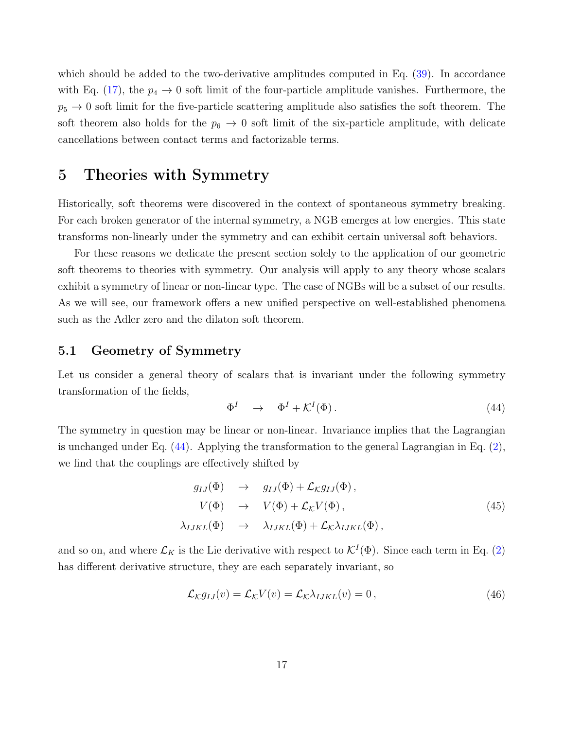which should be added to the two-derivative amplitudes computed in Eq. [\(39\)](#page-14-1). In accordance with Eq. [\(17\)](#page-7-3), the  $p_4 \rightarrow 0$  soft limit of the four-particle amplitude vanishes. Furthermore, the  $p_5 \rightarrow 0$  soft limit for the five-particle scattering amplitude also satisfies the soft theorem. The soft theorem also holds for the  $p_6 \rightarrow 0$  soft limit of the six-particle amplitude, with delicate cancellations between contact terms and factorizable terms.

# <span id="page-16-0"></span>5 Theories with Symmetry

Historically, soft theorems were discovered in the context of spontaneous symmetry breaking. For each broken generator of the internal symmetry, a NGB emerges at low energies. This state transforms non-linearly under the symmetry and can exhibit certain universal soft behaviors.

For these reasons we dedicate the present section solely to the application of our geometric soft theorems to theories with symmetry. Our analysis will apply to any theory whose scalars exhibit a symmetry of linear or non-linear type. The case of NGBs will be a subset of our results. As we will see, our framework offers a new unified perspective on well-established phenomena such as the Adler zero and the dilaton soft theorem.

### <span id="page-16-1"></span>5.1 Geometry of Symmetry

Let us consider a general theory of scalars that is invariant under the following symmetry transformation of the fields,

<span id="page-16-2"></span>
$$
\Phi^I \quad \to \quad \Phi^I + \mathcal{K}^I(\Phi) \,. \tag{44}
$$

The symmetry in question may be linear or non-linear. Invariance implies that the Lagrangian is unchanged under Eq. [\(44\)](#page-16-2). Applying the transformation to the general Lagrangian in Eq. [\(2\)](#page-4-1), we find that the couplings are effectively shifted by

$$
g_{IJ}(\Phi) \rightarrow g_{IJ}(\Phi) + \mathcal{L}_{\kappa} g_{IJ}(\Phi),
$$
  
\n
$$
V(\Phi) \rightarrow V(\Phi) + \mathcal{L}_{\kappa} V(\Phi),
$$
  
\n
$$
\lambda_{IJKL}(\Phi) \rightarrow \lambda_{IJKL}(\Phi) + \mathcal{L}_{\kappa} \lambda_{IJKL}(\Phi),
$$
\n(45)

and so on, and where  $\mathcal{L}_K$  is the Lie derivative with respect to  $\mathcal{K}^I(\Phi)$ . Since each term in Eq. [\(2\)](#page-4-1) has different derivative structure, they are each separately invariant, so

<span id="page-16-3"></span>
$$
\mathcal{L}_{\mathcal{K}}g_{IJ}(v) = \mathcal{L}_{\mathcal{K}}V(v) = \mathcal{L}_{\mathcal{K}}\lambda_{IJKL}(v) = 0, \qquad (46)
$$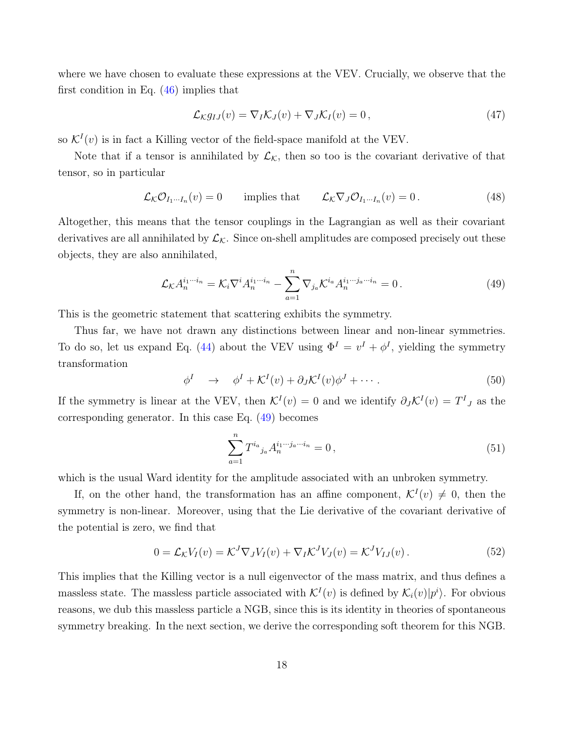where we have chosen to evaluate these expressions at the VEV. Crucially, we observe that the first condition in Eq.  $(46)$  implies that

<span id="page-17-1"></span>
$$
\mathcal{L}_{\mathcal{K}}g_{IJ}(v) = \nabla_I \mathcal{K}_J(v) + \nabla_J \mathcal{K}_I(v) = 0, \qquad (47)
$$

so  $\mathcal{K}^{I}(v)$  is in fact a Killing vector of the field-space manifold at the VEV.

Note that if a tensor is annihilated by  $\mathcal{L}_{\mathcal{K}}$ , then so too is the covariant derivative of that tensor, so in particular

$$
\mathcal{L}_{\mathcal{K}}\mathcal{O}_{I_1\cdots I_n}(v) = 0 \qquad \text{implies that} \qquad \mathcal{L}_{\mathcal{K}}\nabla_J \mathcal{O}_{I_1\cdots I_n}(v) = 0. \tag{48}
$$

Altogether, this means that the tensor couplings in the Lagrangian as well as their covariant derivatives are all annihilated by  $\mathcal{L}_{\mathcal{K}}$ . Since on-shell amplitudes are composed precisely out these objects, they are also annihilated,

$$
\mathcal{L}_{\mathcal{K}} A_n^{i_1 \cdots i_n} = \mathcal{K}_i \nabla^i A_n^{i_1 \cdots i_n} - \sum_{a=1}^n \nabla_{j_a} \mathcal{K}^{i_a} A_n^{i_1 \cdots j_a \cdots i_n} = 0.
$$
 (49)

This is the geometric statement that scattering exhibits the symmetry.

Thus far, we have not drawn any distinctions between linear and non-linear symmetries. To do so, let us expand Eq. [\(44\)](#page-16-2) about the VEV using  $\Phi^I = v^I + \phi^I$ , yielding the symmetry transformation

$$
\phi^I \quad \to \quad \phi^I + \mathcal{K}^I(v) + \partial_J \mathcal{K}^I(v) \phi^J + \cdots \tag{50}
$$

If the symmetry is linear at the VEV, then  $\mathcal{K}^I(v) = 0$  and we identify  $\partial_J \mathcal{K}^I(v) = T^I{}_J$  as the corresponding generator. In this case Eq. [\(49\)](#page-17-0) becomes

<span id="page-17-0"></span>
$$
\sum_{a=1}^{n} T^{i_a}{}_{j_a} A_n^{i_1 \cdots j_a \cdots i_n} = 0 \,, \tag{51}
$$

which is the usual Ward identity for the amplitude associated with an unbroken symmetry.

If, on the other hand, the transformation has an affine component,  $\mathcal{K}^I(v) \neq 0$ , then the symmetry is non-linear. Moreover, using that the Lie derivative of the covariant derivative of the potential is zero, we find that

$$
0 = \mathcal{L}_{\mathcal{K}} V_I(v) = \mathcal{K}^J \nabla_J V_I(v) + \nabla_I \mathcal{K}^J V_J(v) = \mathcal{K}^J V_{IJ}(v).
$$
\n(52)

This implies that the Killing vector is a null eigenvector of the mass matrix, and thus defines a massless state. The massless particle associated with  $\mathcal{K}^I(v)$  is defined by  $\mathcal{K}_i(v)|p^i\rangle$ . For obvious reasons, we dub this massless particle a NGB, since this is its identity in theories of spontaneous symmetry breaking. In the next section, we derive the corresponding soft theorem for this NGB.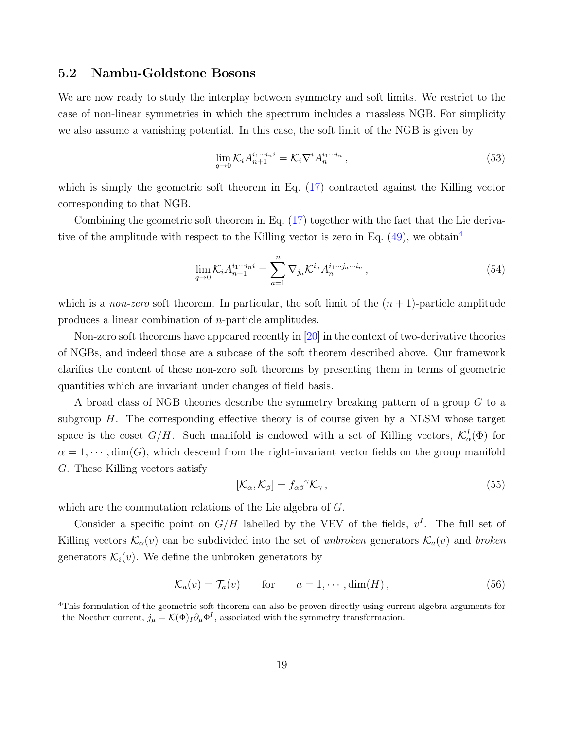### <span id="page-18-0"></span>5.2 Nambu-Goldstone Bosons

We are now ready to study the interplay between symmetry and soft limits. We restrict to the case of non-linear symmetries in which the spectrum includes a massless NGB. For simplicity we also assume a vanishing potential. In this case, the soft limit of the NGB is given by

<span id="page-18-1"></span>
$$
\lim_{q \to 0} \mathcal{K}_i A_{n+1}^{i_1 \cdots i_n i} = \mathcal{K}_i \nabla^i A_n^{i_1 \cdots i_n}, \tag{53}
$$

which is simply the geometric soft theorem in Eq. [\(17\)](#page-7-3) contracted against the Killing vector corresponding to that NGB.

Combining the geometric soft theorem in Eq. [\(17\)](#page-7-3) together with the fact that the Lie derivative of the amplitude with respect to the Killing vector is zero in Eq.  $(49)$ , we obtain<sup>[4](#page-0-0)</sup>

$$
\lim_{q \to 0} \mathcal{K}_i A_{n+1}^{i_1 \cdots i_n i} = \sum_{a=1}^n \nabla_{j_a} \mathcal{K}^{i_a} A_n^{i_1 \cdots j_a \cdots i_n},\tag{54}
$$

which is a non-zero soft theorem. In particular, the soft limit of the  $(n + 1)$ -particle amplitude produces a linear combination of n-particle amplitudes.

Non-zero soft theorems have appeared recently in [\[20\]](#page-33-4) in the context of two-derivative theories of NGBs, and indeed those are a subcase of the soft theorem described above. Our framework clarifies the content of these non-zero soft theorems by presenting them in terms of geometric quantities which are invariant under changes of field basis.

A broad class of NGB theories describe the symmetry breaking pattern of a group G to a subgroup  $H$ . The corresponding effective theory is of course given by a NLSM whose target space is the coset  $G/H$ . Such manifold is endowed with a set of Killing vectors,  $\mathcal{K}_{\alpha}^{I}(\Phi)$  for  $\alpha = 1, \dots$ , dim(G), which descend from the right-invariant vector fields on the group manifold G. These Killing vectors satisfy

$$
[\mathcal{K}_{\alpha}, \mathcal{K}_{\beta}] = f_{\alpha\beta}^{\gamma} \mathcal{K}_{\gamma},\tag{55}
$$

which are the commutation relations of the Lie algebra of G.

Consider a specific point on  $G/H$  labelled by the VEV of the fields,  $v<sup>I</sup>$ . The full set of Killing vectors  $\mathcal{K}_{\alpha}(v)$  can be subdivided into the set of unbroken generators  $\mathcal{K}_{\alpha}(v)$  and broken generators  $\mathcal{K}_i(v)$ . We define the unbroken generators by

$$
\mathcal{K}_a(v) = \mathcal{T}_a(v) \qquad \text{for} \qquad a = 1, \cdots, \dim(H), \tag{56}
$$

<sup>4</sup>This formulation of the geometric soft theorem can also be proven directly using current algebra arguments for the Noether current,  $j_{\mu} = \mathcal{K}(\Phi)_I \partial_{\mu} \Phi^I$ , associated with the symmetry transformation.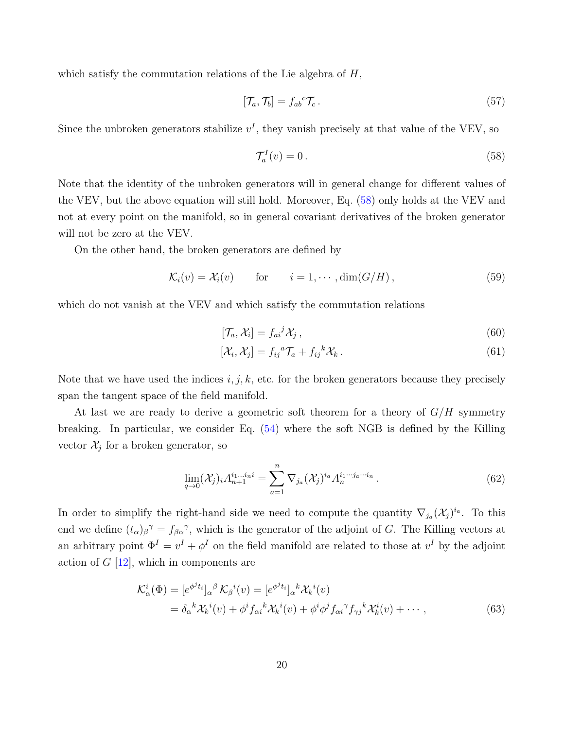which satisfy the commutation relations of the Lie algebra of  $H$ ,

$$
[\mathcal{T}_a, \mathcal{T}_b] = f_{ab}{}^c \mathcal{T}_c. \tag{57}
$$

Since the unbroken generators stabilize  $v<sup>I</sup>$ , they vanish precisely at that value of the VEV, so

<span id="page-19-0"></span>
$$
\mathcal{T}_a^I(v) = 0. \tag{58}
$$

Note that the identity of the unbroken generators will in general change for different values of the VEV, but the above equation will still hold. Moreover, Eq. [\(58\)](#page-19-0) only holds at the VEV and not at every point on the manifold, so in general covariant derivatives of the broken generator will not be zero at the VEV.

On the other hand, the broken generators are defined by

$$
\mathcal{K}_i(v) = \mathcal{X}_i(v) \quad \text{for} \quad i = 1, \cdots, \dim(G/H), \tag{59}
$$

which do not vanish at the VEV and which satisfy the commutation relations

<span id="page-19-2"></span>
$$
[\mathcal{T}_a, \mathcal{X}_i] = f_{ai}{}^j \mathcal{X}_j \,, \tag{60}
$$

$$
[\mathcal{X}_i, \mathcal{X}_j] = f_{ij}{}^a \mathcal{T}_a + f_{ij}{}^k \mathcal{X}_k \,. \tag{61}
$$

Note that we have used the indices  $i, j, k$ , etc. for the broken generators because they precisely span the tangent space of the field manifold.

At last we are ready to derive a geometric soft theorem for a theory of  $G/H$  symmetry breaking. In particular, we consider Eq. [\(54\)](#page-18-1) where the soft NGB is defined by the Killing vector  $\mathcal{X}_j$  for a broken generator, so

<span id="page-19-1"></span>
$$
\lim_{q \to 0} (\mathcal{X}_j)_i A_{n+1}^{i_1 \dots i_n i} = \sum_{a=1}^n \nabla_{j_a} (\mathcal{X}_j)^{i_a} A_n^{i_1 \dots i_a \dots i_n} . \tag{62}
$$

In order to simplify the right-hand side we need to compute the quantity  $\nabla_{j_a}(\mathcal{X}_j)^{i_a}$ . To this end we define  $(t_{\alpha})_{\beta}$ <sup> $\gamma$ </sup> =  $f_{\beta\alpha}$ <sup> $\gamma$ </sup>, which is the generator of the adjoint of G. The Killing vectors at an arbitrary point  $\Phi^I = v^I + \phi^I$  on the field manifold are related to those at  $v^I$  by the adjoint action of  $G$  [\[12\]](#page-33-5), which in components are

$$
\mathcal{K}_{\alpha}^{i}(\Phi) = [e^{\phi^{j}t_{i}}]_{\alpha}{}^{\beta} \mathcal{K}_{\beta}{}^{i}(v) = [e^{\phi^{j}t_{i}}]_{\alpha}{}^{k} \mathcal{K}_{k}{}^{i}(v) \n= \delta_{\alpha}{}^{k} \mathcal{K}_{k}{}^{i}(v) + \phi^{i} f_{\alpha i}{}^{k} \mathcal{K}_{k}{}^{i}(v) + \phi^{i} \phi^{j} f_{\alpha i}{}^{\gamma} f_{\gamma j}{}^{k} \mathcal{K}_{k}{}^{i}(v) + \cdots,
$$
\n(63)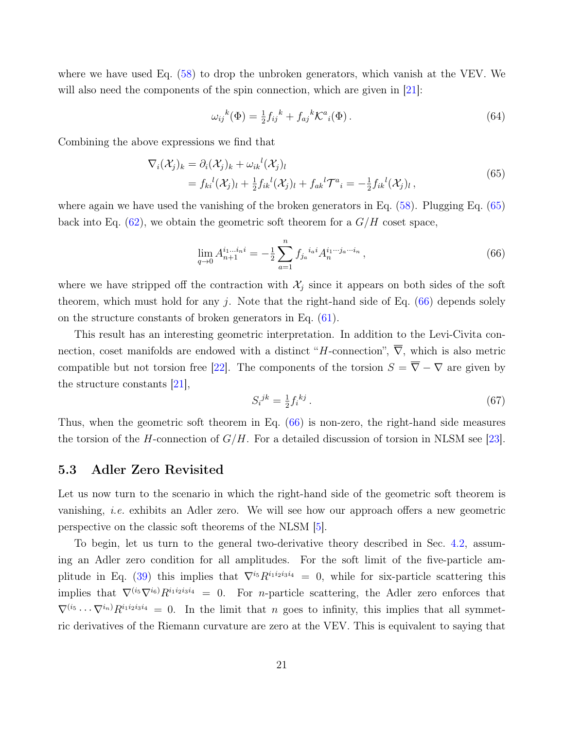where we have used Eq. [\(58\)](#page-19-0) to drop the unbroken generators, which vanish at the VEV. We will also need the components of the spin connection, which are given in [\[21\]](#page-33-6):

$$
\omega_{ij}{}^{k}(\Phi) = \frac{1}{2}f_{ij}{}^{k} + f_{aj}{}^{k}\mathcal{K}^{a}{}_{i}(\Phi).
$$
\n(64)

Combining the above expressions we find that

<span id="page-20-1"></span>
$$
\nabla_i(\mathcal{X}_j)_k = \partial_i(\mathcal{X}_j)_k + \omega_{ik}{}^l(\mathcal{X}_j)_l
$$
  
=  $f_{ki}{}^l(\mathcal{X}_j)_l + \frac{1}{2}f_{ik}{}^l(\mathcal{X}_j)_l + f_{ak}{}^l\mathcal{T}^a{}_i = -\frac{1}{2}f_{ik}{}^l(\mathcal{X}_j)_l ,$  (65)

where again we have used the vanishing of the broken generators in Eq. [\(58\)](#page-19-0). Plugging Eq. [\(65\)](#page-20-1) back into Eq.  $(62)$ , we obtain the geometric soft theorem for a  $G/H$  coset space,

$$
\lim_{q \to 0} A_{n+1}^{i_1 \dots i_n i} = -\frac{1}{2} \sum_{a=1}^n f_{j_a}^{i_a i} A_n^{i_1 \dots i_a \dots i_n}, \tag{66}
$$

where we have stripped off the contraction with  $\mathcal{X}_i$  since it appears on both sides of the soft theorem, which must hold for any  $j$ . Note that the right-hand side of Eq. [\(66\)](#page-20-2) depends solely on the structure constants of broken generators in Eq. [\(61\)](#page-19-2).

This result has an interesting geometric interpretation. In addition to the Levi-Civita connection, coset manifolds are endowed with a distinct "H-connection",  $\overline{\nabla}$ , which is also metric compatible but not torsion free [\[22\]](#page-33-7). The components of the torsion  $S = \overline{\nabla} - \nabla$  are given by the structure constants [\[21\]](#page-33-6),

<span id="page-20-2"></span>
$$
S_i{}^{jk} = \frac{1}{2} f_i{}^{kj} \,. \tag{67}
$$

Thus, when the geometric soft theorem in Eq. [\(66\)](#page-20-2) is non-zero, the right-hand side measures the torsion of the H-connection of  $G/H$ . For a detailed discussion of torsion in NLSM see [\[23\]](#page-34-0).

### <span id="page-20-0"></span>5.3 Adler Zero Revisited

Let us now turn to the scenario in which the right-hand side of the geometric soft theorem is vanishing, i.e. exhibits an Adler zero. We will see how our approach offers a new geometric perspective on the classic soft theorems of the NLSM [\[5\]](#page-32-2).

To begin, let us turn to the general two-derivative theory described in Sec. [4.2,](#page-14-0) assuming an Adler zero condition for all amplitudes. For the soft limit of the five-particle am-plitude in Eq. [\(39\)](#page-14-1) this implies that  $\nabla^{i_5} R^{i_1 i_2 i_3 i_4} = 0$ , while for six-particle scattering this implies that  $\nabla^{(i_5}\nabla^{i_6)}R^{i_1i_2i_3i_4} = 0$ . For *n*-particle scattering, the Adler zero enforces that  $\nabla^{(i_5} \cdots \nabla^{i_n)} R^{i_1 i_2 i_3 i_4} = 0$ . In the limit that n goes to infinity, this implies that all symmetric derivatives of the Riemann curvature are zero at the VEV. This is equivalent to saying that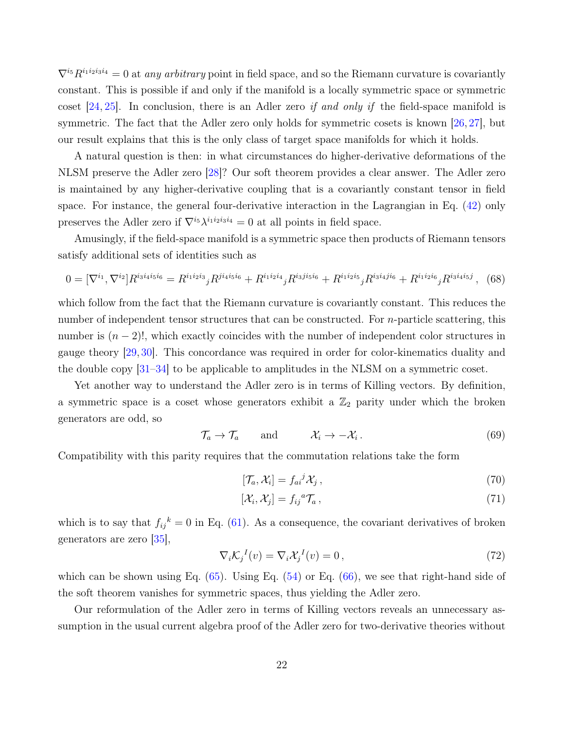$\nabla^{i_5}R^{i_1i_2i_3i_4} = 0$  at any arbitrary point in field space, and so the Riemann curvature is covariantly constant. This is possible if and only if the manifold is a locally symmetric space or symmetric coset  $[24, 25]$  $[24, 25]$  $[24, 25]$ . In conclusion, there is an Adler zero *if and only if* the field-space manifold is symmetric. The fact that the Adler zero only holds for symmetric cosets is known [\[26,](#page-34-3) [27\]](#page-34-4), but our result explains that this is the only class of target space manifolds for which it holds.

A natural question is then: in what circumstances do higher-derivative deformations of the NLSM preserve the Adler zero [\[28\]](#page-34-5)? Our soft theorem provides a clear answer. The Adler zero is maintained by any higher-derivative coupling that is a covariantly constant tensor in field space. For instance, the general four-derivative interaction in the Lagrangian in Eq. [\(42\)](#page-15-1) only preserves the Adler zero if  $\nabla^{i_5} \lambda^{i_1 i_2 i_3 i_4} = 0$  at all points in field space.

Amusingly, if the field-space manifold is a symmetric space then products of Riemann tensors satisfy additional sets of identities such as

<span id="page-21-1"></span>
$$
0 = [\nabla^{i_1}, \nabla^{i_2}] R^{i_3 i_4 i_5 i_6} = R^{i_1 i_2 i_3}{}_j R^{j i_4 i_5 i_6} + R^{i_1 i_2 i_4}{}_j R^{i_3 j i_5 i_6} + R^{i_1 i_2 i_5}{}_j R^{i_3 i_4 j i_6} + R^{i_1 i_2 i_6}{}_j R^{i_3 i_4 i_5 j} ,
$$
 (68)

which follow from the fact that the Riemann curvature is covariantly constant. This reduces the number of independent tensor structures that can be constructed. For *n*-particle scattering, this number is  $(n-2)!$ , which exactly coincides with the number of independent color structures in gauge theory [\[29,](#page-34-6) [30\]](#page-34-7). This concordance was required in order for color-kinematics duality and the double copy [\[31–](#page-34-8)[34\]](#page-34-9) to be applicable to amplitudes in the NLSM on a symmetric coset.

Yet another way to understand the Adler zero is in terms of Killing vectors. By definition, a symmetric space is a coset whose generators exhibit a  $\mathbb{Z}_2$  parity under which the broken generators are odd, so

$$
\mathcal{T}_a \to \mathcal{T}_a \quad \text{and} \quad \mathcal{X}_i \to -\mathcal{X}_i. \tag{69}
$$

Compatibility with this parity requires that the commutation relations take the form

$$
[\mathcal{T}_a, \mathcal{X}_i] = f_{ai}{}^j \mathcal{X}_j \,, \tag{70}
$$

$$
[\mathcal{X}_i, \mathcal{X}_j] = f_{ij}{}^a \mathcal{T}_a \,, \tag{71}
$$

which is to say that  $f_{ij}^k = 0$  in Eq. [\(61\)](#page-19-2). As a consequence, the covariant derivatives of broken generators are zero [\[35\]](#page-35-0),

<span id="page-21-0"></span>
$$
\nabla_i \mathcal{K}_j{}^I(v) = \nabla_i \mathcal{X}_j{}^I(v) = 0, \qquad (72)
$$

which can be shown using Eq.  $(65)$ . Using Eq.  $(54)$  or Eq.  $(66)$ , we see that right-hand side of the soft theorem vanishes for symmetric spaces, thus yielding the Adler zero.

Our reformulation of the Adler zero in terms of Killing vectors reveals an unnecessary assumption in the usual current algebra proof of the Adler zero for two-derivative theories without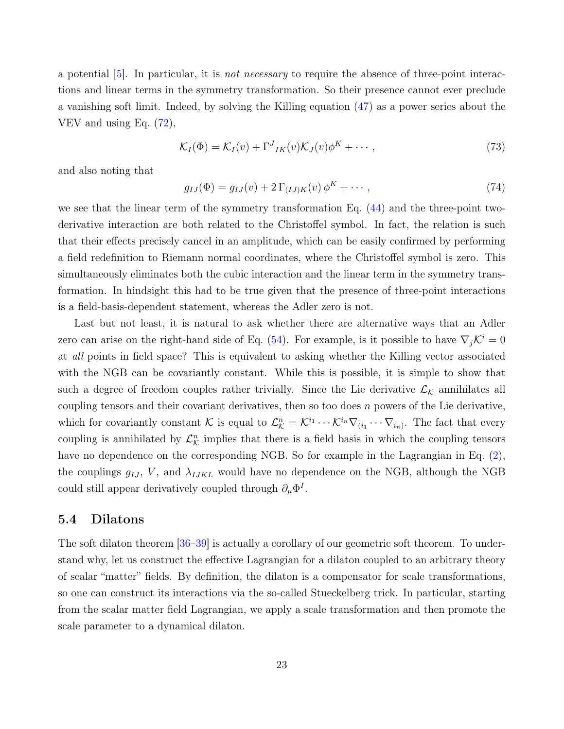a potential  $[5]$ . In particular, it is *not necessary* to require the absence of three-point interactions and linear terms in the symmetry transformation. So their presence cannot ever preclude a vanishing soft limit. Indeed, by solving the Killing equation [\(47\)](#page-17-1) as a power series about the VEV and using Eq.  $(72)$ ,

$$
\mathcal{K}_I(\Phi) = \mathcal{K}_I(v) + \Gamma^J{}_{IK}(v)\mathcal{K}_J(v)\phi^K + \cdots, \qquad (73)
$$

and also noting that

$$
g_{IJ}(\Phi) = g_{IJ}(v) + 2 \Gamma_{(IJ)K}(v) \phi^K + \cdots, \qquad (74)
$$

we see that the linear term of the symmetry transformation Eq.  $(44)$  and the three-point twoderivative interaction are both related to the Christoffel symbol. In fact, the relation is such that their effects precisely cancel in an amplitude, which can be easily confirmed by performing a field redefinition to Riemann normal coordinates, where the Christoffel symbol is zero. This simultaneously eliminates both the cubic interaction and the linear term in the symmetry transformation. In hindsight this had to be true given that the presence of three-point interactions is a field-basis-dependent statement, whereas the Adler zero is not.

Last but not least, it is natural to ask whether there are alternative ways that an Adler zero can arise on the right-hand side of Eq. [\(54\)](#page-18-1). For example, is it possible to have  $\nabla_i \mathcal{K}^i = 0$ at all points in field space? This is equivalent to asking whether the Killing vector associated with the NGB can be covariantly constant. While this is possible, it is simple to show that such a degree of freedom couples rather trivially. Since the Lie derivative  $\mathcal{L}_{\mathcal{K}}$  annihilates all coupling tensors and their covariant derivatives, then so too does  $n$  powers of the Lie derivative, which for covariantly constant K is equal to  $\mathcal{L}_{\mathcal{K}}^n = \mathcal{K}^{i_1} \cdots \mathcal{K}^{i_n} \nabla_{(i_1} \cdots \nabla_{i_n)}$ . The fact that every coupling is annihilated by  $\mathcal{L}_{\mathcal{K}}^n$  implies that there is a field basis in which the coupling tensors have no dependence on the corresponding NGB. So for example in the Lagrangian in Eq.  $(2)$ , the couplings  $g_{IJ}$ , V, and  $\lambda_{IJKL}$  would have no dependence on the NGB, although the NGB could still appear derivatively coupled through  $\partial_{\mu} \Phi^{I}$ .

#### <span id="page-22-0"></span>5.4 Dilatons

The soft dilaton theorem [\[36–](#page-35-1)[39\]](#page-35-2) is actually a corollary of our geometric soft theorem. To understand why, let us construct the effective Lagrangian for a dilaton coupled to an arbitrary theory of scalar "matter" fields. By definition, the dilaton is a compensator for scale transformations, so one can construct its interactions via the so-called Stueckelberg trick. In particular, starting from the scalar matter field Lagrangian, we apply a scale transformation and then promote the scale parameter to a dynamical dilaton.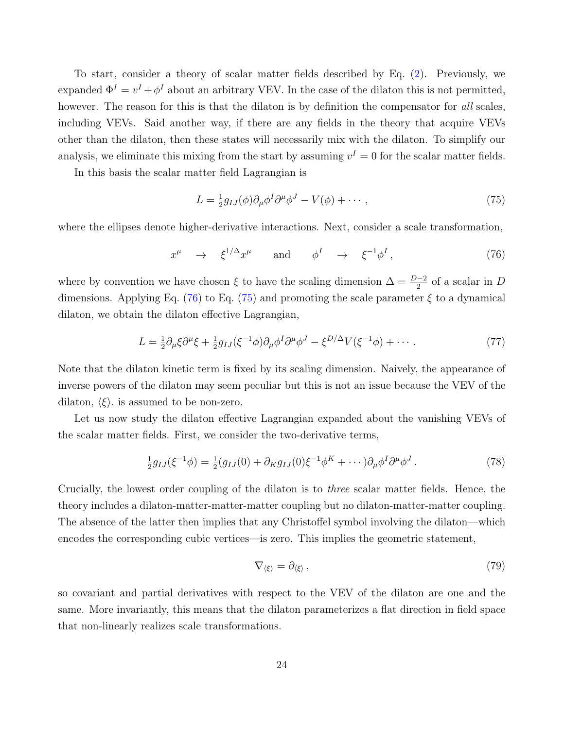To start, consider a theory of scalar matter fields described by Eq. [\(2\)](#page-4-1). Previously, we expanded  $\Phi^I = v^I + \phi^I$  about an arbitrary VEV. In the case of the dilaton this is not permitted, however. The reason for this is that the dilaton is by definition the compensator for all scales, including VEVs. Said another way, if there are any fields in the theory that acquire VEVs other than the dilaton, then these states will necessarily mix with the dilaton. To simplify our analysis, we eliminate this mixing from the start by assuming  $v^I = 0$  for the scalar matter fields.

In this basis the scalar matter field Lagrangian is

<span id="page-23-1"></span>
$$
L = \frac{1}{2}g_{IJ}(\phi)\partial_\mu\phi^I\partial^\mu\phi^J - V(\phi) + \cdots, \qquad (75)
$$

where the ellipses denote higher-derivative interactions. Next, consider a scale transformation,

<span id="page-23-0"></span>
$$
x^{\mu} \rightarrow \xi^{1/\Delta} x^{\mu} \quad \text{and} \quad \phi^{I} \rightarrow \xi^{-1} \phi^{I}, \qquad (76)
$$

where by convention we have chosen  $\xi$  to have the scaling dimension  $\Delta = \frac{D-2}{2}$  of a scalar in D dimensions. Applying Eq. [\(76\)](#page-23-0) to Eq. [\(75\)](#page-23-1) and promoting the scale parameter  $\xi$  to a dynamical dilaton, we obtain the dilaton effective Lagrangian,

$$
L = \frac{1}{2}\partial_{\mu}\xi\partial^{\mu}\xi + \frac{1}{2}g_{IJ}(\xi^{-1}\phi)\partial_{\mu}\phi^{I}\partial^{\mu}\phi^{J} - \xi^{D/\Delta}V(\xi^{-1}\phi) + \cdots. \tag{77}
$$

Note that the dilaton kinetic term is fixed by its scaling dimension. Naively, the appearance of inverse powers of the dilaton may seem peculiar but this is not an issue because the VEV of the dilaton,  $\langle \xi \rangle$ , is assumed to be non-zero.

Let us now study the dilaton effective Lagrangian expanded about the vanishing VEVs of the scalar matter fields. First, we consider the two-derivative terms,

$$
\frac{1}{2}g_{IJ}(\xi^{-1}\phi) = \frac{1}{2}(g_{IJ}(0) + \partial_K g_{IJ}(0)\xi^{-1}\phi^K + \cdots)\partial_\mu\phi^I\partial^\mu\phi^J.
$$
\n(78)

Crucially, the lowest order coupling of the dilaton is to three scalar matter fields. Hence, the theory includes a dilaton-matter-matter-matter coupling but no dilaton-matter-matter coupling. The absence of the latter then implies that any Christoffel symbol involving the dilaton—which encodes the corresponding cubic vertices—is zero. This implies the geometric statement,

$$
\nabla_{\langle \xi \rangle} = \partial_{\langle \xi \rangle} \,, \tag{79}
$$

so covariant and partial derivatives with respect to the VEV of the dilaton are one and the same. More invariantly, this means that the dilaton parameterizes a flat direction in field space that non-linearly realizes scale transformations.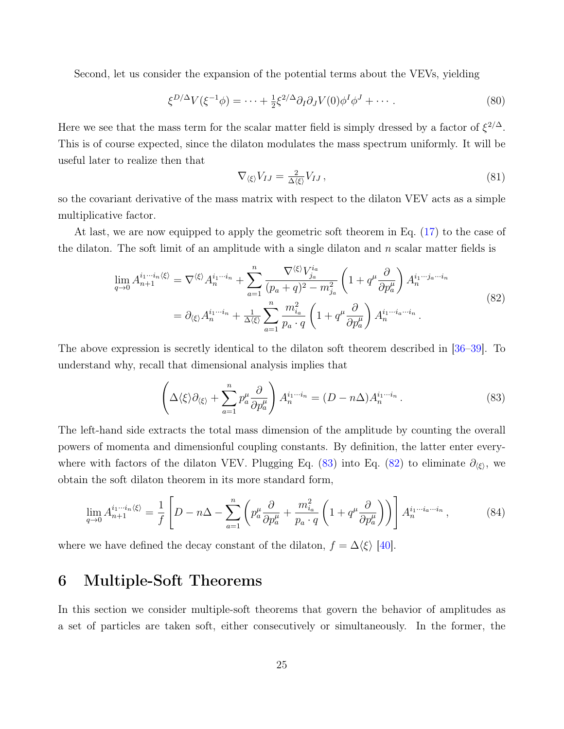Second, let us consider the expansion of the potential terms about the VEVs, yielding

$$
\xi^{D/\Delta} V(\xi^{-1} \phi) = \dots + \frac{1}{2} \xi^{2/\Delta} \partial_I \partial_J V(0) \phi^I \phi^J + \dots \tag{80}
$$

Here we see that the mass term for the scalar matter field is simply dressed by a factor of  $\xi^{2/\Delta}$ . This is of course expected, since the dilaton modulates the mass spectrum uniformly. It will be useful later to realize then that

$$
\nabla_{\langle \xi \rangle} V_{IJ} = \frac{2}{\Delta \langle \xi \rangle} V_{IJ},\tag{81}
$$

so the covariant derivative of the mass matrix with respect to the dilaton VEV acts as a simple multiplicative factor.

At last, we are now equipped to apply the geometric soft theorem in Eq. [\(17\)](#page-7-3) to the case of the dilaton. The soft limit of an amplitude with a single dilaton and  $n$  scalar matter fields is

<span id="page-24-2"></span>
$$
\lim_{q \to 0} A_{n+1}^{i_1 \cdots i_n \langle \xi \rangle} = \nabla^{\langle \xi \rangle} A_n^{i_1 \cdots i_n} + \sum_{a=1}^n \frac{\nabla^{\langle \xi \rangle} V_{ja}^{i_a}}{(p_a + q)^2 - m_{ja}^2} \left( 1 + q^\mu \frac{\partial}{\partial p_a^\mu} \right) A_n^{i_1 \cdots j_a \cdots i_n}
$$
\n
$$
= \partial_{\langle \xi \rangle} A_n^{i_1 \cdots i_n} + \frac{1}{\Delta \langle \xi \rangle} \sum_{a=1}^n \frac{m_{i_a}^2}{p_a \cdot q} \left( 1 + q^\mu \frac{\partial}{\partial p_a^\mu} \right) A_n^{i_1 \cdots i_a \cdots i_n}.
$$
\n(82)

The above expression is secretly identical to the dilaton soft theorem described in [\[36–](#page-35-1)[39\]](#page-35-2). To understand why, recall that dimensional analysis implies that

<span id="page-24-1"></span>
$$
\left(\Delta\langle\xi\rangle\partial_{\langle\xi\rangle}+\sum_{a=1}^{n}p_{a}^{\mu}\frac{\partial}{\partial p_{a}^{\mu}}\right)A_{n}^{i_{1}\cdots i_{n}}=(D-n\Delta)A_{n}^{i_{1}\cdots i_{n}}.
$$
\n(83)

The left-hand side extracts the total mass dimension of the amplitude by counting the overall powers of momenta and dimensionful coupling constants. By definition, the latter enter every-where with factors of the dilaton VEV. Plugging Eq. [\(83\)](#page-24-1) into Eq. [\(82\)](#page-24-2) to eliminate  $\partial_{\langle \xi \rangle}$ , we obtain the soft dilaton theorem in its more standard form,

$$
\lim_{q \to 0} A_{n+1}^{i_1 \cdots i_n \langle \xi \rangle} = \frac{1}{f} \left[ D - n \Delta - \sum_{a=1}^n \left( p_a^{\mu} \frac{\partial}{\partial p_a^{\mu}} + \frac{m_{i_a}^2}{p_a \cdot q} \left( 1 + q^{\mu} \frac{\partial}{\partial p_a^{\mu}} \right) \right) \right] A_n^{i_1 \cdots i_a \cdots i_n}, \tag{84}
$$

where we have defined the decay constant of the dilaton,  $f = \Delta \langle \xi \rangle$  [\[40\]](#page-35-3).

# <span id="page-24-0"></span>6 Multiple-Soft Theorems

In this section we consider multiple-soft theorems that govern the behavior of amplitudes as a set of particles are taken soft, either consecutively or simultaneously. In the former, the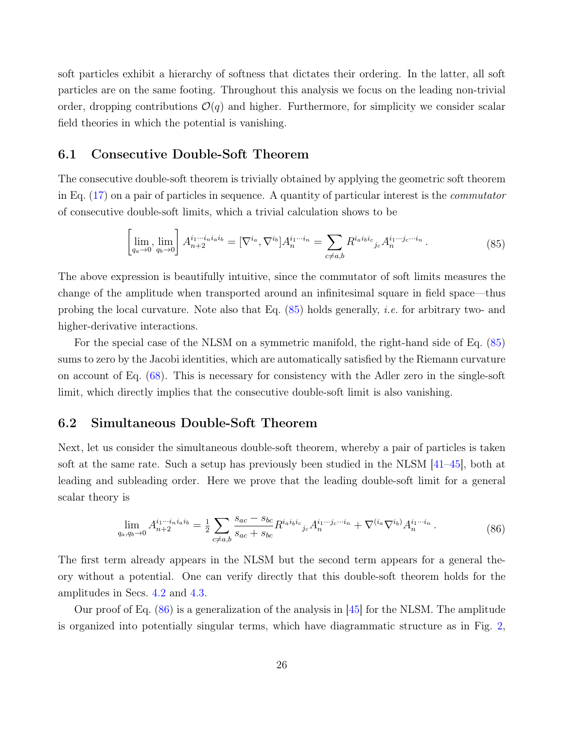soft particles exhibit a hierarchy of softness that dictates their ordering. In the latter, all soft particles are on the same footing. Throughout this analysis we focus on the leading non-trivial order, dropping contributions  $\mathcal{O}(q)$  and higher. Furthermore, for simplicity we consider scalar field theories in which the potential is vanishing.

### <span id="page-25-0"></span>6.1 Consecutive Double-Soft Theorem

The consecutive double-soft theorem is trivially obtained by applying the geometric soft theorem in Eq. [\(17\)](#page-7-3) on a pair of particles in sequence. A quantity of particular interest is the commutator of consecutive double-soft limits, which a trivial calculation shows to be

<span id="page-25-2"></span>
$$
\left[\lim_{q_a \to 0}, \lim_{q_b \to 0}\right] A^{i_1 \cdots i_n i_a i_b}_{n+2} = [\nabla^{i_a}, \nabla^{i_b}] A^{i_1 \cdots i_n}_{n} = \sum_{c \neq a,b} R^{i_a i_b i_c}{}_{j_c} A^{i_1 \cdots j_c \cdots i_n}_{n} .
$$
\n(85)

The above expression is beautifully intuitive, since the commutator of soft limits measures the change of the amplitude when transported around an infinitesimal square in field space—thus probing the local curvature. Note also that Eq.  $(85)$  holds generally, *i.e.* for arbitrary two- and higher-derivative interactions.

For the special case of the NLSM on a symmetric manifold, the right-hand side of Eq. [\(85\)](#page-25-2) sums to zero by the Jacobi identities, which are automatically satisfied by the Riemann curvature on account of Eq. [\(68\)](#page-21-1). This is necessary for consistency with the Adler zero in the single-soft limit, which directly implies that the consecutive double-soft limit is also vanishing.

### <span id="page-25-1"></span>6.2 Simultaneous Double-Soft Theorem

Next, let us consider the simultaneous double-soft theorem, whereby a pair of particles is taken soft at the same rate. Such a setup has previously been studied in the NLSM [\[41](#page-35-4)[–45\]](#page-35-5), both at leading and subleading order. Here we prove that the leading double-soft limit for a general scalar theory is

<span id="page-25-3"></span>
$$
\lim_{q_a, q_b \to 0} A_{n+2}^{i_1 \cdots i_n i_a i_b} = \frac{1}{2} \sum_{c \neq a,b} \frac{s_{ac} - s_{bc}}{s_{ac} + s_{bc}} R^{i_a i_b i_c}{}_{j_c} A_n^{i_1 \cdots j_c \cdots i_n} + \nabla^{(i_a \nabla^{i_b})} A_n^{i_1 \cdots i_n} \,. \tag{86}
$$

The first term already appears in the NLSM but the second term appears for a general theory without a potential. One can verify directly that this double-soft theorem holds for the amplitudes in Secs. [4.2](#page-14-0) and [4.3.](#page-15-0)

Our proof of Eq.  $(86)$  is a generalization of the analysis in  $|45|$  for the NLSM. The amplitude is organized into potentially singular terms, which have diagrammatic structure as in Fig. [2,](#page-26-0)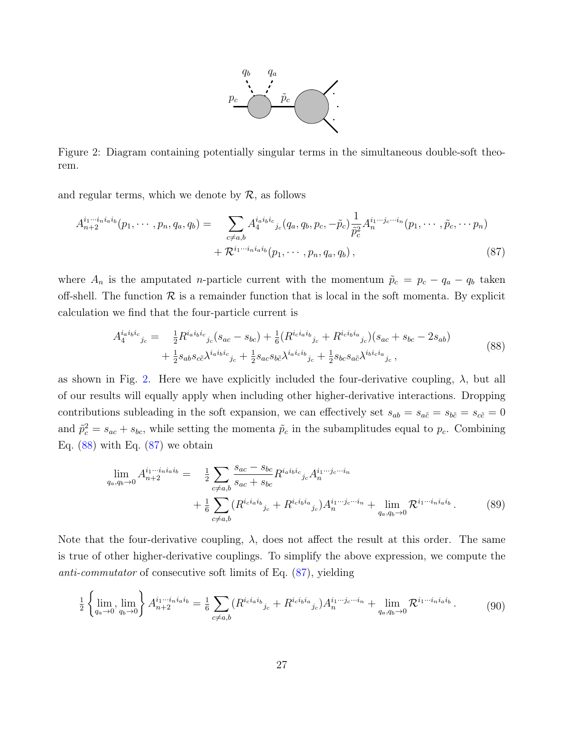<span id="page-26-2"></span>

<span id="page-26-0"></span>Figure 2: Diagram containing potentially singular terms in the simultaneous double-soft theorem.

and regular terms, which we denote by  $\mathcal{R}$ , as follows

$$
A_{n+2}^{i_1\cdots i_n i_a i_b}(p_1, \cdots, p_n, q_a, q_b) = \sum_{c \neq a,b} A_4^{i_a i_b i_c}{}_{j_c}(q_a, q_b, p_c, -\tilde{p}_c) \frac{1}{\tilde{p}_c^2} A_n^{i_1\cdots j_c\cdots i_n}(p_1, \cdots, \tilde{p}_c, \cdots p_n) + \mathcal{R}^{i_1\cdots i_n i_a i_b}(p_1, \cdots, p_n, q_a, q_b),
$$
\n
$$
(87)
$$

where  $A_n$  is the amputated *n*-particle current with the momentum  $\tilde{p}_c = p_c - q_a - q_b$  taken off-shell. The function  $\mathcal R$  is a remainder function that is local in the soft momenta. By explicit calculation we find that the four-particle current is

<span id="page-26-1"></span>
$$
A_4^{i_a i_b i_c}{}_{j_c} = \frac{1}{2} R^{i_a i_b i_c}{}_{j_c} (s_{ac} - s_{bc}) + \frac{1}{6} (R^{i_c i_a i_b}{}_{j_c} + R^{i_c i_b i_a}{}_{j_c}) (s_{ac} + s_{bc} - 2s_{ab}) + \frac{1}{2} s_{ab} s_{c\tilde{c}} \lambda^{i_a i_b i_c}{}_{j_c} + \frac{1}{2} s_{ac} s_{b\tilde{c}} \lambda^{i_a i_c i_b}{}_{j_c} + \frac{1}{2} s_{bc} s_{a\tilde{c}} \lambda^{i_b i_c i_a}{}_{j_c},
$$
\n
$$
(88)
$$

as shown in Fig. [2.](#page-26-0) Here we have explicitly included the four-derivative coupling,  $\lambda$ , but all of our results will equally apply when including other higher-derivative interactions. Dropping contributions subleading in the soft expansion, we can effectively set  $s_{ab} = s_{a\tilde{c}} = s_{b\tilde{c}} = c_{\tilde{c}} = 0$ and  $\tilde{p}_c^2 = s_{ac} + s_{bc}$ , while setting the momenta  $\tilde{p}_c$  in the subamplitudes equal to  $p_c$ . Combining Eq.  $(88)$  with Eq.  $(87)$  we obtain

<span id="page-26-3"></span>
$$
\lim_{q_a, q_b \to 0} A_{n+2}^{i_1 \cdots i_n i_a i_b} = \frac{1}{2} \sum_{c \neq a,b} \frac{s_{ac} - s_{bc}}{s_{ac} + s_{bc}} R^{i_a i_b i_c}{}_{j_c} A_n^{i_1 \cdots j_c \cdots i_n} + \frac{1}{6} \sum_{c \neq a,b} (R^{i_c i_a i_b}{}_{j_c} + R^{i_c i_b i_a}{}_{j_c}) A_n^{i_1 \cdots j_c \cdots i_n} + \lim_{q_a, q_b \to 0} \mathcal{R}^{i_1 \cdots i_n i_a i_b}.
$$
\n(89)

Note that the four-derivative coupling,  $\lambda$ , does not affect the result at this order. The same is true of other higher-derivative couplings. To simplify the above expression, we compute the anti-commutator of consecutive soft limits of Eq. [\(87\)](#page-26-2), yielding

<span id="page-26-4"></span>
$$
\frac{1}{2} \left\{ \lim_{q_a \to 0} \lim_{q_b \to 0} \right\} A^{i_1 \cdots i_n i_a i_b}_{n+2} = \frac{1}{6} \sum_{c \neq a,b} (R^{i_c i_a i_b}_{\qquad c} + R^{i_c i_b i_a}_{\qquad c}) A^{i_1 \cdots j_c \cdots i_n}_{n} + \lim_{q_a, q_b \to 0} \mathcal{R}^{i_1 \cdots i_n i_a i_b} \,. \tag{90}
$$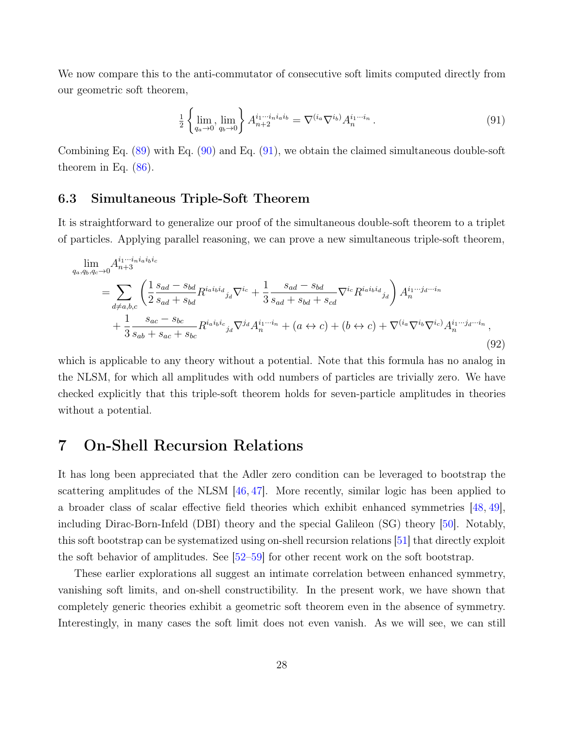We now compare this to the anti-commutator of consecutive soft limits computed directly from our geometric soft theorem,

<span id="page-27-2"></span>
$$
\frac{1}{2} \left\{ \lim_{q_a \to 0} \lim_{q_b \to 0} \right\} A_{n+2}^{i_1 \cdots i_n i_a i_b} = \nabla^{(i_a} \nabla^{i_b)} A_n^{i_1 \cdots i_n} . \tag{91}
$$

Combining Eq. [\(89\)](#page-26-3) with Eq. [\(90\)](#page-26-4) and Eq. [\(91\)](#page-27-2), we obtain the claimed simultaneous double-soft theorem in Eq.  $(86)$ .

### <span id="page-27-0"></span>6.3 Simultaneous Triple-Soft Theorem

It is straightforward to generalize our proof of the simultaneous double-soft theorem to a triplet of particles. Applying parallel reasoning, we can prove a new simultaneous triple-soft theorem,

$$
\lim_{q_a,q_b,q_c \to 0} A^{i_1 \cdots i_n i_a i_b i_c}_{n+3} = \sum_{d \neq a,b,c} \left( \frac{1}{2} \frac{s_{ad} - s_{bd}}{s_{ad} + s_{bd}} R^{i_a i_b i_d}_{j_d} \nabla^{i_c} + \frac{1}{3} \frac{s_{ad} - s_{bd}}{s_{ad} + s_{bd} + s_{cd}} \nabla^{i_c} R^{i_a i_b i_d}_{j_d} \right) A^{i_1 \cdots j_d \cdots i_n}_{n} + \frac{1}{3} \frac{s_{ac} - s_{bc}}{s_{ab} + s_{ac} + s_{bc}} R^{i_a i_b i_c}_{j_d} \nabla^{j_d} A^{i_1 \cdots i_n}_{n} + (a \leftrightarrow c) + (b \leftrightarrow c) + \nabla^{(i_a} \nabla^{i_b} \nabla^{i_c}) A^{i_1 \cdots j_d \cdots i_n}_{n},
$$
\n(92)

which is applicable to any theory without a potential. Note that this formula has no analog in the NLSM, for which all amplitudes with odd numbers of particles are trivially zero. We have checked explicitly that this triple-soft theorem holds for seven-particle amplitudes in theories without a potential.

# <span id="page-27-1"></span>7 On-Shell Recursion Relations

It has long been appreciated that the Adler zero condition can be leveraged to bootstrap the scattering amplitudes of the NLSM  $[46, 47]$  $[46, 47]$  $[46, 47]$ . More recently, similar logic has been applied to a broader class of scalar effective field theories which exhibit enhanced symmetries [\[48,](#page-36-0) [49\]](#page-36-1), including Dirac-Born-Infeld (DBI) theory and the special Galileon (SG) theory [\[50\]](#page-36-2). Notably, this soft bootstrap can be systematized using on-shell recursion relations [\[51\]](#page-36-3) that directly exploit the soft behavior of amplitudes. See [\[52–](#page-36-4)[59\]](#page-36-5) for other recent work on the soft bootstrap.

These earlier explorations all suggest an intimate correlation between enhanced symmetry, vanishing soft limits, and on-shell constructibility. In the present work, we have shown that completely generic theories exhibit a geometric soft theorem even in the absence of symmetry. Interestingly, in many cases the soft limit does not even vanish. As we will see, we can still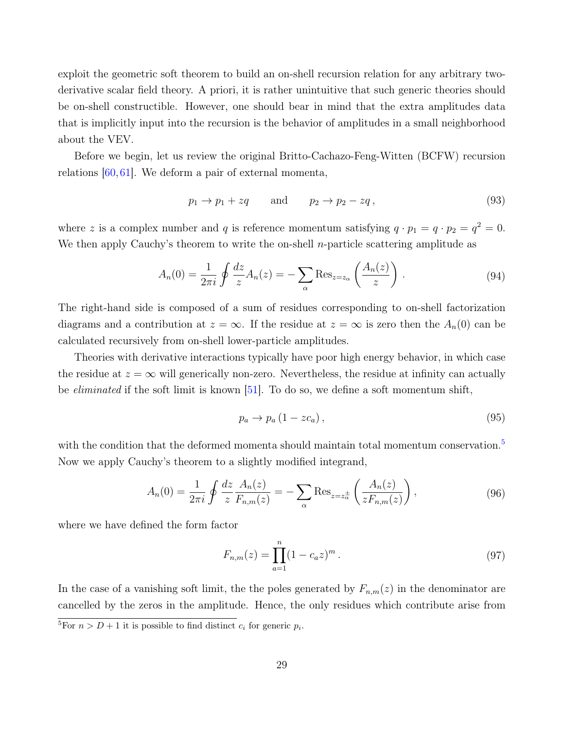exploit the geometric soft theorem to build an on-shell recursion relation for any arbitrary twoderivative scalar field theory. A priori, it is rather unintuitive that such generic theories should be on-shell constructible. However, one should bear in mind that the extra amplitudes data that is implicitly input into the recursion is the behavior of amplitudes in a small neighborhood about the VEV.

Before we begin, let us review the original Britto-Cachazo-Feng-Witten (BCFW) recursion relations [\[60,](#page-37-0) [61\]](#page-37-1). We deform a pair of external momenta,

$$
p_1 \to p_1 + zq \qquad \text{and} \qquad p_2 \to p_2 - zq, \tag{93}
$$

where z is a complex number and q is reference momentum satisfying  $q \cdot p_1 = q \cdot p_2 = q^2 = 0$ . We then apply Cauchy's theorem to write the on-shell *n*-particle scattering amplitude as

$$
A_n(0) = \frac{1}{2\pi i} \oint \frac{dz}{z} A_n(z) = -\sum_{\alpha} \text{Res}_{z=z_{\alpha}} \left( \frac{A_n(z)}{z} \right). \tag{94}
$$

The right-hand side is composed of a sum of residues corresponding to on-shell factorization diagrams and a contribution at  $z = \infty$ . If the residue at  $z = \infty$  is zero then the  $A_n(0)$  can be calculated recursively from on-shell lower-particle amplitudes.

Theories with derivative interactions typically have poor high energy behavior, in which case the residue at  $z = \infty$  will generically non-zero. Nevertheless, the residue at infinity can actually be eliminated if the soft limit is known [\[51\]](#page-36-3). To do so, we define a soft momentum shift,

<span id="page-28-0"></span>
$$
p_a \to p_a \left( 1 - z c_a \right), \tag{95}
$$

with the condition that the deformed momenta should maintain total momentum conservation.<sup>[5](#page-0-0)</sup> Now we apply Cauchy's theorem to a slightly modified integrand,

$$
A_n(0) = \frac{1}{2\pi i} \oint \frac{dz}{z} \frac{A_n(z)}{F_{n,m}(z)} = -\sum_{\alpha} \text{Res}_{z=z_{\alpha}^{\pm}} \left( \frac{A_n(z)}{z F_{n,m}(z)} \right), \tag{96}
$$

where we have defined the form factor

$$
F_{n,m}(z) = \prod_{a=1}^{n} (1 - c_a z)^m.
$$
\n(97)

In the case of a vanishing soft limit, the the poles generated by  $F_{n,m}(z)$  in the denominator are cancelled by the zeros in the amplitude. Hence, the only residues which contribute arise from

<sup>&</sup>lt;sup>5</sup>For  $n > D + 1$  it is possible to find distinct  $c_i$  for generic  $p_i$ .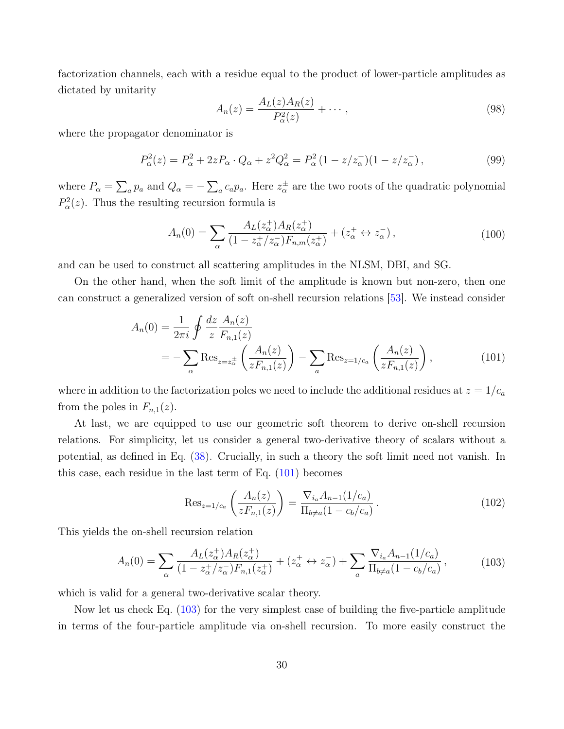factorization channels, each with a residue equal to the product of lower-particle amplitudes as dictated by unitarity

$$
A_n(z) = \frac{A_L(z)A_R(z)}{P_\alpha^2(z)} + \cdots , \qquad (98)
$$

where the propagator denominator is

$$
P_{\alpha}^{2}(z) = P_{\alpha}^{2} + 2zP_{\alpha} \cdot Q_{\alpha} + z^{2}Q_{\alpha}^{2} = P_{\alpha}^{2} (1 - z/z_{\alpha}^{+})(1 - z/z_{\alpha}^{-}),
$$
\n(99)

where  $P_{\alpha} = \sum_{a} p_a$  and  $Q_{\alpha} = -\sum_{a} c_a p_a$ . Here  $z_{\alpha}^{\pm}$  are the two roots of the quadratic polynomial  $P_\alpha^2(z)$ . Thus the resulting recursion formula is

$$
A_n(0) = \sum_{\alpha} \frac{A_L(z_{\alpha}^+) A_R(z_{\alpha}^+)}{(1 - z_{\alpha}^+/z_{\alpha}^-) F_{n,m}(z_{\alpha}^+)} + (z_{\alpha}^+ \leftrightarrow z_{\alpha}^-), \tag{100}
$$

and can be used to construct all scattering amplitudes in the NLSM, DBI, and SG.

On the other hand, when the soft limit of the amplitude is known but non-zero, then one can construct a generalized version of soft on-shell recursion relations [\[53\]](#page-36-6). We instead consider

$$
A_n(0) = \frac{1}{2\pi i} \oint \frac{dz}{z} \frac{A_n(z)}{F_{n,1}(z)}
$$
  
= 
$$
-\sum_{\alpha} \text{Res}_{z=z_{\alpha}^{\pm}} \left( \frac{A_n(z)}{zF_{n,1}(z)} \right) - \sum_{a} \text{Res}_{z=1/c_a} \left( \frac{A_n(z)}{zF_{n,1}(z)} \right),
$$
 (101)

where in addition to the factorization poles we need to include the additional residues at  $z = 1/c_a$ from the poles in  $F_{n,1}(z)$ .

At last, we are equipped to use our geometric soft theorem to derive on-shell recursion relations. For simplicity, let us consider a general two-derivative theory of scalars without a potential, as defined in Eq. [\(38\)](#page-14-2). Crucially, in such a theory the soft limit need not vanish. In this case, each residue in the last term of Eq. [\(101\)](#page-29-0) becomes

<span id="page-29-0"></span>
$$
\operatorname{Res}_{z=1/c_a} \left( \frac{A_n(z)}{z F_{n,1}(z)} \right) = \frac{\nabla_{i_a} A_{n-1}(1/c_a)}{\Pi_{b \neq a} (1 - c_b/c_a)}.
$$
\n(102)

This yields the on-shell recursion relation

<span id="page-29-1"></span>
$$
A_n(0) = \sum_{\alpha} \frac{A_L(z_{\alpha}^+) A_R(z_{\alpha}^+)}{(1 - z_{\alpha}^+/z_{\alpha}^-) F_{n,1}(z_{\alpha}^+)} + (z_{\alpha}^+ \leftrightarrow z_{\alpha}^-) + \sum_{a} \frac{\nabla_{i_a} A_{n-1}(1/c_a)}{\Pi_{b \neq a}(1 - c_b/c_a)},
$$
(103)

which is valid for a general two-derivative scalar theory.

Now let us check Eq. [\(103\)](#page-29-1) for the very simplest case of building the five-particle amplitude in terms of the four-particle amplitude via on-shell recursion. To more easily construct the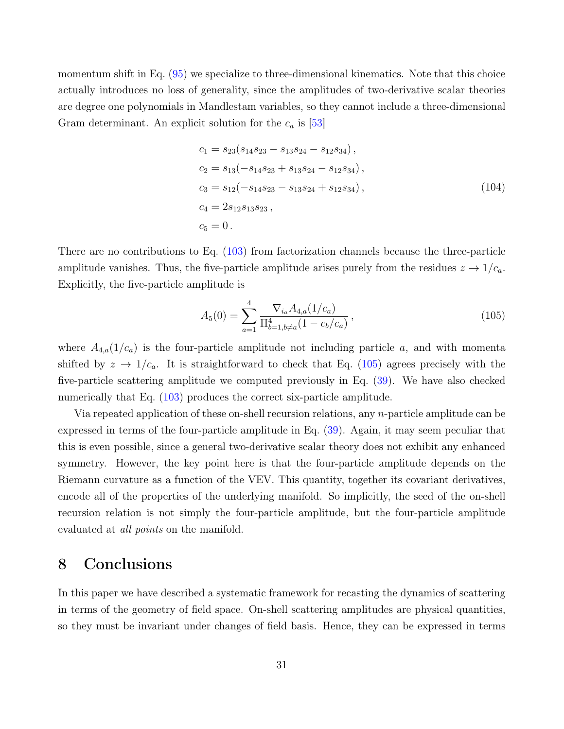momentum shift in Eq. [\(95\)](#page-28-0) we specialize to three-dimensional kinematics. Note that this choice actually introduces no loss of generality, since the amplitudes of two-derivative scalar theories are degree one polynomials in Mandlestam variables, so they cannot include a three-dimensional Gram determinant. An explicit solution for the  $c_a$  is [\[53\]](#page-36-6)

$$
c_1 = s_{23}(s_{14}s_{23} - s_{13}s_{24} - s_{12}s_{34}),
$$
  
\n
$$
c_2 = s_{13}(-s_{14}s_{23} + s_{13}s_{24} - s_{12}s_{34}),
$$
  
\n
$$
c_3 = s_{12}(-s_{14}s_{23} - s_{13}s_{24} + s_{12}s_{34}),
$$
  
\n
$$
c_4 = 2s_{12}s_{13}s_{23},
$$
  
\n
$$
c_5 = 0.
$$
  
\n(104)

There are no contributions to Eq. [\(103\)](#page-29-1) from factorization channels because the three-particle amplitude vanishes. Thus, the five-particle amplitude arises purely from the residues  $z \to 1/c_a$ . Explicitly, the five-particle amplitude is

<span id="page-30-1"></span>
$$
A_5(0) = \sum_{a=1}^4 \frac{\nabla_{i_a} A_{4,a} (1/c_a)}{\prod_{b=1, b \neq a}^4 (1 - c_b/c_a)},
$$
\n(105)

where  $A_{4,a}(1/c_a)$  is the four-particle amplitude not including particle a, and with momenta shifted by  $z \to 1/c_a$ . It is straightforward to check that Eq. [\(105\)](#page-30-1) agrees precisely with the five-particle scattering amplitude we computed previously in Eq. [\(39\)](#page-14-1). We have also checked numerically that Eq. [\(103\)](#page-29-1) produces the correct six-particle amplitude.

Via repeated application of these on-shell recursion relations, any n-particle amplitude can be expressed in terms of the four-particle amplitude in Eq. [\(39\)](#page-14-1). Again, it may seem peculiar that this is even possible, since a general two-derivative scalar theory does not exhibit any enhanced symmetry. However, the key point here is that the four-particle amplitude depends on the Riemann curvature as a function of the VEV. This quantity, together its covariant derivatives, encode all of the properties of the underlying manifold. So implicitly, the seed of the on-shell recursion relation is not simply the four-particle amplitude, but the four-particle amplitude evaluated at *all points* on the manifold.

# <span id="page-30-0"></span>8 Conclusions

In this paper we have described a systematic framework for recasting the dynamics of scattering in terms of the geometry of field space. On-shell scattering amplitudes are physical quantities, so they must be invariant under changes of field basis. Hence, they can be expressed in terms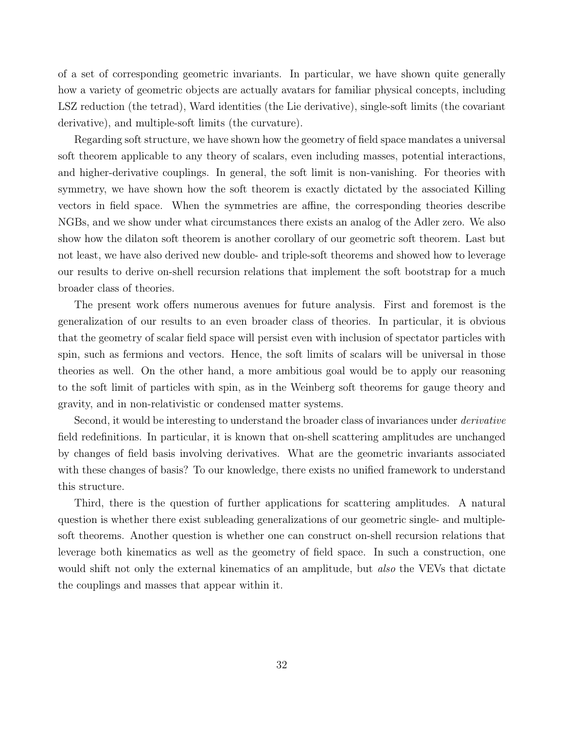of a set of corresponding geometric invariants. In particular, we have shown quite generally how a variety of geometric objects are actually avatars for familiar physical concepts, including LSZ reduction (the tetrad), Ward identities (the Lie derivative), single-soft limits (the covariant derivative), and multiple-soft limits (the curvature).

Regarding soft structure, we have shown how the geometry of field space mandates a universal soft theorem applicable to any theory of scalars, even including masses, potential interactions, and higher-derivative couplings. In general, the soft limit is non-vanishing. For theories with symmetry, we have shown how the soft theorem is exactly dictated by the associated Killing vectors in field space. When the symmetries are affine, the corresponding theories describe NGBs, and we show under what circumstances there exists an analog of the Adler zero. We also show how the dilaton soft theorem is another corollary of our geometric soft theorem. Last but not least, we have also derived new double- and triple-soft theorems and showed how to leverage our results to derive on-shell recursion relations that implement the soft bootstrap for a much broader class of theories.

The present work offers numerous avenues for future analysis. First and foremost is the generalization of our results to an even broader class of theories. In particular, it is obvious that the geometry of scalar field space will persist even with inclusion of spectator particles with spin, such as fermions and vectors. Hence, the soft limits of scalars will be universal in those theories as well. On the other hand, a more ambitious goal would be to apply our reasoning to the soft limit of particles with spin, as in the Weinberg soft theorems for gauge theory and gravity, and in non-relativistic or condensed matter systems.

Second, it would be interesting to understand the broader class of invariances under *derivative* field redefinitions. In particular, it is known that on-shell scattering amplitudes are unchanged by changes of field basis involving derivatives. What are the geometric invariants associated with these changes of basis? To our knowledge, there exists no unified framework to understand this structure.

Third, there is the question of further applications for scattering amplitudes. A natural question is whether there exist subleading generalizations of our geometric single- and multiplesoft theorems. Another question is whether one can construct on-shell recursion relations that leverage both kinematics as well as the geometry of field space. In such a construction, one would shift not only the external kinematics of an amplitude, but also the VEVs that dictate the couplings and masses that appear within it.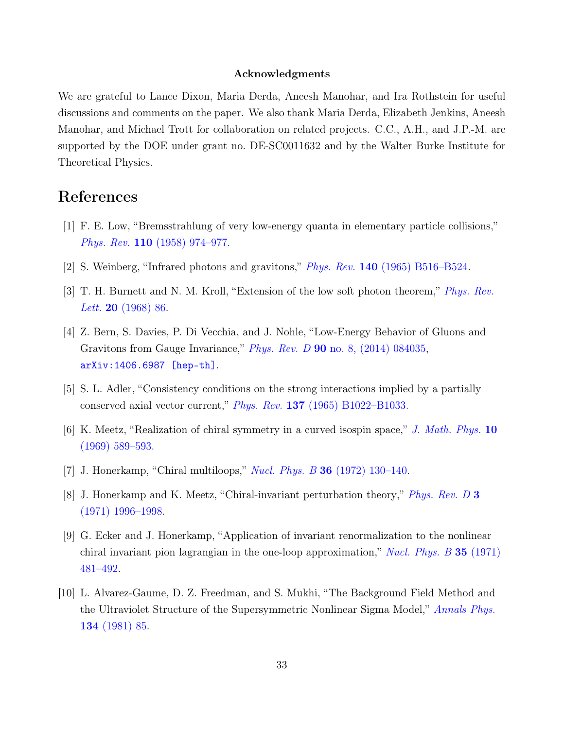#### Acknowledgments

We are grateful to Lance Dixon, Maria Derda, Aneesh Manohar, and Ira Rothstein for useful discussions and comments on the paper. We also thank Maria Derda, Elizabeth Jenkins, Aneesh Manohar, and Michael Trott for collaboration on related projects. C.C., A.H., and J.P.-M. are supported by the DOE under grant no. DE-SC0011632 and by the Walter Burke Institute for Theoretical Physics.

## References

- <span id="page-32-0"></span>[1] F. E. Low, "Bremsstrahlung of very low-energy quanta in elementary particle collisions," Phys. Rev. 110 [\(1958\) 974–977.](http://dx.doi.org/10.1103/PhysRev.110.974)
- [2] S. Weinberg, "Infrared photons and gravitons," Phys. Rev. 140 [\(1965\) B516–B524.](http://dx.doi.org/10.1103/PhysRev.140.B516)
- [3] T. H. Burnett and N. M. Kroll, "Extension of the low soft photon theorem," *[Phys. Rev.](http://dx.doi.org/10.1103/PhysRevLett.20.86) Lett.* **20** [\(1968\) 86.](http://dx.doi.org/10.1103/PhysRevLett.20.86)
- <span id="page-32-1"></span>[4] Z. Bern, S. Davies, P. Di Vecchia, and J. Nohle, "Low-Energy Behavior of Gluons and Gravitons from Gauge Invariance," Phys. Rev. D 90 [no. 8, \(2014\) 084035,](http://dx.doi.org/10.1103/PhysRevD.90.084035) [arXiv:1406.6987 \[hep-th\]](http://arxiv.org/abs/1406.6987).
- <span id="page-32-2"></span>[5] S. L. Adler, "Consistency conditions on the strong interactions implied by a partially conserved axial vector current," Phys. Rev. 137 [\(1965\) B1022–B1033.](http://dx.doi.org/10.1103/PhysRev.137.B1022)
- <span id="page-32-3"></span>[6] K. Meetz, "Realization of chiral symmetry in a curved isospin space," [J. Math. Phys.](http://dx.doi.org/10.1063/1.1664881) 10 [\(1969\) 589–593.](http://dx.doi.org/10.1063/1.1664881)
- [7] J. Honerkamp, "Chiral multiloops," Nucl. Phys. B 36 [\(1972\) 130–140.](http://dx.doi.org/10.1016/0550-3213(72)90299-4)
- [8] J. Honerkamp and K. Meetz, "Chiral-invariant perturbation theory," [Phys. Rev. D](http://dx.doi.org/10.1103/PhysRevD.3.1996) 3 [\(1971\) 1996–1998.](http://dx.doi.org/10.1103/PhysRevD.3.1996)
- [9] G. Ecker and J. Honerkamp, "Application of invariant renormalization to the nonlinear chiral invariant pion lagrangian in the one-loop approximation," Nucl. Phys.  $B$  35 (1971) [481–492.](http://dx.doi.org/10.1016/0550-3213(71)90468-8)
- [10] L. Alvarez-Gaume, D. Z. Freedman, and S. Mukhi, "The Background Field Method and the Ultraviolet Structure of the Supersymmetric Nonlinear Sigma Model," [Annals Phys.](http://dx.doi.org/10.1016/0003-4916(81)90006-3) 134 [\(1981\) 85.](http://dx.doi.org/10.1016/0003-4916(81)90006-3)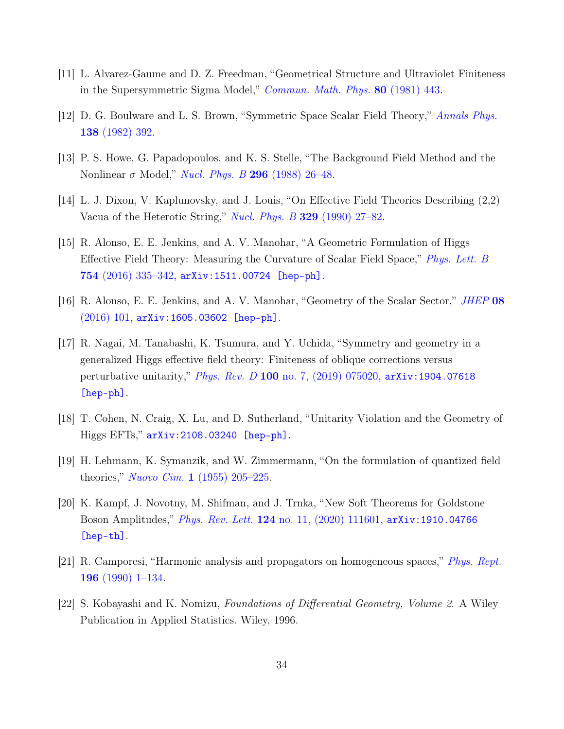- [11] L. Alvarez-Gaume and D. Z. Freedman, "Geometrical Structure and Ultraviolet Finiteness in the Supersymmetric Sigma Model," [Commun. Math. Phys.](http://dx.doi.org/10.1007/BF01208280) 80 (1981) 443.
- <span id="page-33-5"></span>[12] D. G. Boulware and L. S. Brown, "Symmetric Space Scalar Field Theory," [Annals Phys.](http://dx.doi.org/10.1016/0003-4916(82)90192-0) 138 [\(1982\) 392.](http://dx.doi.org/10.1016/0003-4916(82)90192-0)
- <span id="page-33-0"></span>[13] P. S. Howe, G. Papadopoulos, and K. S. Stelle, "The Background Field Method and the Nonlinear  $\sigma$  Model," *[Nucl. Phys. B](http://dx.doi.org/10.1016/0550-3213(88)90379-3)* 296 (1988) 26–48.
- <span id="page-33-1"></span>[14] L. J. Dixon, V. Kaplunovsky, and J. Louis, "On Effective Field Theories Describing (2,2) Vacua of the Heterotic String," [Nucl. Phys. B](http://dx.doi.org/10.1016/0550-3213(90)90057-K) 329 (1990) 27–82.
- [15] R. Alonso, E. E. Jenkins, and A. V. Manohar, "A Geometric Formulation of Higgs Effective Field Theory: Measuring the Curvature of Scalar Field Space," [Phys. Lett. B](http://dx.doi.org/10.1016/j.physletb.2016.01.041)  ${\bf 754} \,\, (2016) \,\, 335\text{--}342, \, \texttt{arXiv:} 1511.00724 \,\, \,$  [hep-ph].
- [16] R. Alonso, E. E. Jenkins, and A. V. Manohar, "Geometry of the Scalar Sector," [JHEP](http://dx.doi.org/10.1007/JHEP08(2016)101) 08 [\(2016\) 101,](http://dx.doi.org/10.1007/JHEP08(2016)101) [arXiv:1605.03602 \[hep-ph\]](http://arxiv.org/abs/1605.03602).
- [17] R. Nagai, M. Tanabashi, K. Tsumura, and Y. Uchida, "Symmetry and geometry in a generalized Higgs effective field theory: Finiteness of oblique corrections versus perturbative unitarity," Phys. Rev. D 100 [no. 7, \(2019\) 075020,](http://dx.doi.org/10.1103/PhysRevD.100.075020) [arXiv:1904.07618](http://arxiv.org/abs/1904.07618) [\[hep-ph\]](http://arxiv.org/abs/1904.07618).
- <span id="page-33-2"></span>[18] T. Cohen, N. Craig, X. Lu, and D. Sutherland, "Unitarity Violation and the Geometry of Higgs EFTs," [arXiv:2108.03240 \[hep-ph\]](http://arxiv.org/abs/2108.03240).
- <span id="page-33-3"></span>[19] H. Lehmann, K. Symanzik, and W. Zimmermann, "On the formulation of quantized field theories," Nuovo Cim. 1 [\(1955\) 205–225.](http://dx.doi.org/10.1007/BF02731765)
- <span id="page-33-4"></span>[20] K. Kampf, J. Novotny, M. Shifman, and J. Trnka, "New Soft Theorems for Goldstone Boson Amplitudes," *Phys. Rev. Lett.* **124** [no. 11, \(2020\) 111601,](http://dx.doi.org/10.1103/PhysRevLett.124.111601) arXiv: 1910.04766 [\[hep-th\]](http://arxiv.org/abs/1910.04766).
- <span id="page-33-6"></span>[21] R. Camporesi, "Harmonic analysis and propagators on homogeneous spaces," [Phys. Rept.](http://dx.doi.org/10.1016/0370-1573(90)90120-Q) 196 [\(1990\) 1–134.](http://dx.doi.org/10.1016/0370-1573(90)90120-Q)
- <span id="page-33-7"></span>[22] S. Kobayashi and K. Nomizu, Foundations of Differential Geometry, Volume 2. A Wiley Publication in Applied Statistics. Wiley, 1996.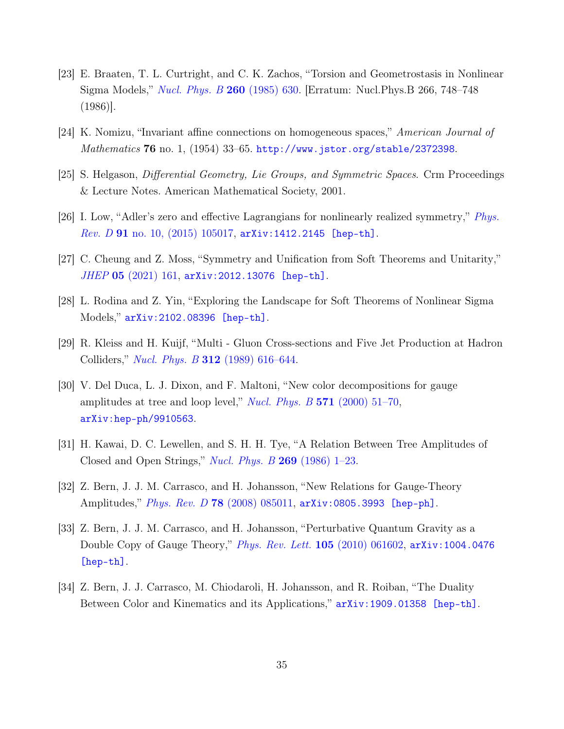- <span id="page-34-0"></span>[23] E. Braaten, T. L. Curtright, and C. K. Zachos, "Torsion and Geometrostasis in Nonlinear Sigma Models," [Nucl. Phys. B](http://dx.doi.org/10.1016/0550-3213(86)90196-3) 260 (1985) 630. [Erratum: Nucl.Phys.B 266, 748–748 (1986)].
- <span id="page-34-1"></span>[24] K. Nomizu, "Invariant affine connections on homogeneous spaces," American Journal of Mathematics 76 no. 1, (1954) 33–65. <http://www.jstor.org/stable/2372398>.
- <span id="page-34-2"></span>[25] S. Helgason, Differential Geometry, Lie Groups, and Symmetric Spaces. Crm Proceedings & Lecture Notes. American Mathematical Society, 2001.
- <span id="page-34-3"></span>[26] I. Low, "Adler's zero and effective Lagrangians for nonlinearly realized symmetry," [Phys.](http://dx.doi.org/10.1103/PhysRevD.91.105017)  $Rev. D 91$  no. 10,  $(2015)$  105017, [arXiv:1412.2145 \[hep-th\]](http://arxiv.org/abs/1412.2145).
- <span id="page-34-4"></span>[27] C. Cheung and Z. Moss, "Symmetry and Unification from Soft Theorems and Unitarity,"  $JHEP$  05 [\(2021\) 161,](http://dx.doi.org/10.1007/JHEP05(2021)161) [arXiv:2012.13076 \[hep-th\]](http://arxiv.org/abs/2012.13076).
- <span id="page-34-5"></span>[28] L. Rodina and Z. Yin, "Exploring the Landscape for Soft Theorems of Nonlinear Sigma Models," [arXiv:2102.08396 \[hep-th\]](http://arxiv.org/abs/2102.08396).
- <span id="page-34-6"></span>[29] R. Kleiss and H. Kuijf, "Multi - Gluon Cross-sections and Five Jet Production at Hadron Colliders," Nucl. Phys. B 312 [\(1989\) 616–644.](http://dx.doi.org/10.1016/0550-3213(89)90574-9)
- <span id="page-34-7"></span>[30] V. Del Duca, L. J. Dixon, and F. Maltoni, "New color decompositions for gauge amplitudes at tree and loop level," *[Nucl. Phys. B](http://dx.doi.org/10.1016/S0550-3213(99)00809-3)* 571 (2000) 51–70, [arXiv:hep-ph/9910563](http://arxiv.org/abs/hep-ph/9910563).
- <span id="page-34-8"></span>[31] H. Kawai, D. C. Lewellen, and S. H. H. Tye, "A Relation Between Tree Amplitudes of Closed and Open Strings," *[Nucl. Phys. B](http://dx.doi.org/10.1016/0550-3213(86)90362-7)*  $269$  (1986) 1–23.
- [32] Z. Bern, J. J. M. Carrasco, and H. Johansson, "New Relations for Gauge-Theory Amplitudes," Phys. Rev. D 78 [\(2008\) 085011,](http://dx.doi.org/10.1103/PhysRevD.78.085011) [arXiv:0805.3993 \[hep-ph\]](http://arxiv.org/abs/0805.3993).
- [33] Z. Bern, J. J. M. Carrasco, and H. Johansson, "Perturbative Quantum Gravity as a Double Copy of Gauge Theory," *[Phys. Rev. Lett.](http://dx.doi.org/10.1103/PhysRevLett.105.061602)* **105** (2010) 061602, arXiv: 1004.0476 [\[hep-th\]](http://arxiv.org/abs/1004.0476).
- <span id="page-34-9"></span>[34] Z. Bern, J. J. Carrasco, M. Chiodaroli, H. Johansson, and R. Roiban, "The Duality Between Color and Kinematics and its Applications,"  $arXiv:1909.01358$  [hep-th].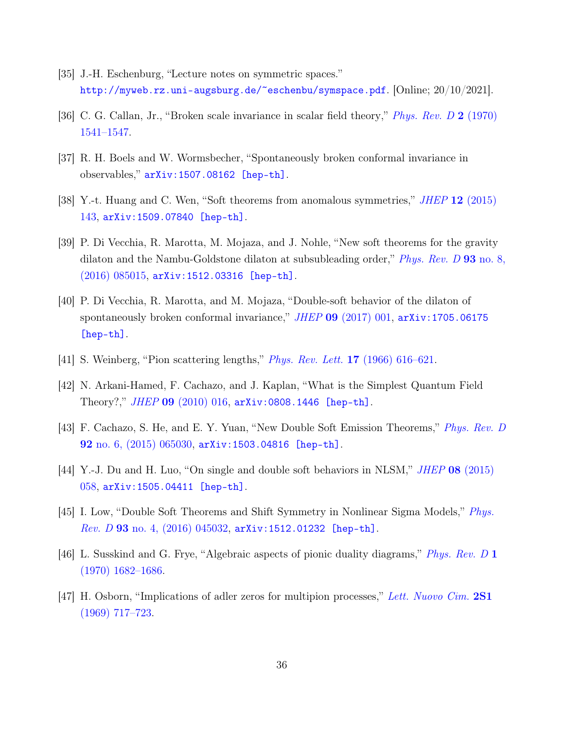- <span id="page-35-0"></span>[35] J.-H. Eschenburg, "Lecture notes on symmetric spaces." <http://myweb.rz.uni-augsburg.de/~eschenbu/symspace.pdf>. [Online; 20/10/2021].
- <span id="page-35-1"></span>[36] C. G. Callan, Jr., "Broken scale invariance in scalar field theory," [Phys. Rev. D](http://dx.doi.org/10.1103/PhysRevD.2.1541) 2 (1970) [1541–1547.](http://dx.doi.org/10.1103/PhysRevD.2.1541)
- [37] R. H. Boels and W. Wormsbecher, "Spontaneously broken conformal invariance in observables," [arXiv:1507.08162 \[hep-th\]](http://arxiv.org/abs/1507.08162).
- [38] Y.-t. Huang and C. Wen, "Soft theorems from anomalous symmetries," JHEP 12 [\(2015\)](http://dx.doi.org/10.1007/JHEP12(2015)143) [143,](http://dx.doi.org/10.1007/JHEP12(2015)143) [arXiv:1509.07840 \[hep-th\]](http://arxiv.org/abs/1509.07840).
- <span id="page-35-2"></span>[39] P. Di Vecchia, R. Marotta, M. Mojaza, and J. Nohle, "New soft theorems for the gravity dilaton and the Nambu-Goldstone dilaton at subsubleading order," *[Phys. Rev. D](http://dx.doi.org/10.1103/PhysRevD.93.085015)* 93 no. 8, [\(2016\) 085015,](http://dx.doi.org/10.1103/PhysRevD.93.085015) [arXiv:1512.03316 \[hep-th\]](http://arxiv.org/abs/1512.03316).
- <span id="page-35-3"></span>[40] P. Di Vecchia, R. Marotta, and M. Mojaza, "Double-soft behavior of the dilaton of spontaneously broken conformal invariance," JHEP 09 [\(2017\) 001,](http://dx.doi.org/10.1007/JHEP09(2017)001)  $arXiv:1705.06175$ [\[hep-th\]](http://arxiv.org/abs/1705.06175).
- <span id="page-35-4"></span>[41] S. Weinberg, "Pion scattering lengths," [Phys. Rev. Lett.](http://dx.doi.org/10.1103/PhysRevLett.17.616) 17 (1966) 616–621.
- [42] N. Arkani-Hamed, F. Cachazo, and J. Kaplan, "What is the Simplest Quantum Field Theory?," JHEP 09 [\(2010\) 016,](http://dx.doi.org/10.1007/JHEP09(2010)016) [arXiv:0808.1446 \[hep-th\]](http://arxiv.org/abs/0808.1446).
- [43] F. Cachazo, S. He, and E. Y. Yuan, "New Double Soft Emission Theorems," [Phys. Rev. D](http://dx.doi.org/10.1103/PhysRevD.92.065030) 92 [no. 6, \(2015\) 065030,](http://dx.doi.org/10.1103/PhysRevD.92.065030) [arXiv:1503.04816 \[hep-th\]](http://arxiv.org/abs/1503.04816).
- [44] Y.-J. Du and H. Luo, "On single and double soft behaviors in NLSM," JHEP 08 [\(2015\)](http://dx.doi.org/10.1007/JHEP08(2015)058) [058,](http://dx.doi.org/10.1007/JHEP08(2015)058) [arXiv:1505.04411 \[hep-th\]](http://arxiv.org/abs/1505.04411).
- <span id="page-35-5"></span>[45] I. Low, "Double Soft Theorems and Shift Symmetry in Nonlinear Sigma Models," [Phys.](http://dx.doi.org/10.1103/PhysRevD.93.045032)  $Rev. D$  93 no. 4,  $(2016)$  045032, [arXiv:1512.01232 \[hep-th\]](http://arxiv.org/abs/1512.01232).
- <span id="page-35-6"></span>[46] L. Susskind and G. Frye, "Algebraic aspects of pionic duality diagrams," [Phys. Rev. D](http://dx.doi.org/10.1103/PhysRevD.1.1682) 1 [\(1970\) 1682–1686.](http://dx.doi.org/10.1103/PhysRevD.1.1682)
- <span id="page-35-7"></span>[47] H. Osborn, "Implications of adler zeros for multipion processes," [Lett. Nuovo Cim.](http://dx.doi.org/10.1007/BF02755724) 2S1 [\(1969\) 717–723.](http://dx.doi.org/10.1007/BF02755724)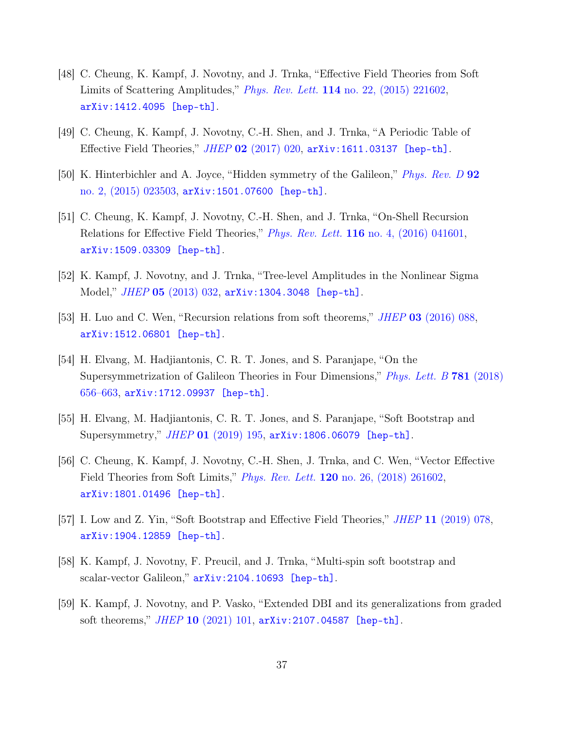- <span id="page-36-0"></span>[48] C. Cheung, K. Kampf, J. Novotny, and J. Trnka, "Effective Field Theories from Soft Limits of Scattering Amplitudes," Phys. Rev. Lett. 114 [no. 22, \(2015\) 221602,](http://dx.doi.org/10.1103/PhysRevLett.114.221602) [arXiv:1412.4095 \[hep-th\]](http://arxiv.org/abs/1412.4095).
- <span id="page-36-1"></span>[49] C. Cheung, K. Kampf, J. Novotny, C.-H. Shen, and J. Trnka, "A Periodic Table of Effective Field Theories,"  $JHEP$  02 [\(2017\) 020,](http://dx.doi.org/10.1007/JHEP02(2017)020)  $arXiv:1611.03137$  [hep-th].
- <span id="page-36-2"></span>[50] K. Hinterbichler and A. Joyce, "Hidden symmetry of the Galileon," [Phys. Rev. D](http://dx.doi.org/10.1103/PhysRevD.92.023503) 92 [no. 2, \(2015\) 023503,](http://dx.doi.org/10.1103/PhysRevD.92.023503) [arXiv:1501.07600 \[hep-th\]](http://arxiv.org/abs/1501.07600).
- <span id="page-36-3"></span>[51] C. Cheung, K. Kampf, J. Novotny, C.-H. Shen, and J. Trnka, "On-Shell Recursion Relations for Effective Field Theories," Phys. Rev. Lett. 116 [no. 4, \(2016\) 041601,](http://dx.doi.org/10.1103/PhysRevLett.116.041601) [arXiv:1509.03309 \[hep-th\]](http://arxiv.org/abs/1509.03309).
- <span id="page-36-4"></span>[52] K. Kampf, J. Novotny, and J. Trnka, "Tree-level Amplitudes in the Nonlinear Sigma Model," JHEP 05 [\(2013\) 032,](http://dx.doi.org/10.1007/JHEP05(2013)032) [arXiv:1304.3048 \[hep-th\]](http://arxiv.org/abs/1304.3048).
- <span id="page-36-6"></span>[53] H. Luo and C. Wen, "Recursion relations from soft theorems," *JHEP* 03 [\(2016\) 088,](http://dx.doi.org/10.1007/JHEP03(2016)088) [arXiv:1512.06801 \[hep-th\]](http://arxiv.org/abs/1512.06801).
- [54] H. Elvang, M. Hadjiantonis, C. R. T. Jones, and S. Paranjape, "On the Supersymmetrization of Galileon Theories in Four Dimensions," [Phys. Lett. B](http://dx.doi.org/10.1016/j.physletb.2018.04.032) 781 (2018)  $656-663$ ,  $arXiv:1712.09937$  [hep-th].
- [55] H. Elvang, M. Hadjiantonis, C. R. T. Jones, and S. Paranjape, "Soft Bootstrap and Supersymmetry," JHEP 01 [\(2019\) 195,](http://dx.doi.org/10.1007/JHEP01(2019)195) [arXiv:1806.06079 \[hep-th\]](http://arxiv.org/abs/1806.06079).
- [56] C. Cheung, K. Kampf, J. Novotny, C.-H. Shen, J. Trnka, and C. Wen, "Vector Effective Field Theories from Soft Limits," Phys. Rev. Lett. 120 [no. 26, \(2018\) 261602,](http://dx.doi.org/10.1103/PhysRevLett.120.261602) [arXiv:1801.01496 \[hep-th\]](http://arxiv.org/abs/1801.01496).
- [57] I. Low and Z. Yin, "Soft Bootstrap and Effective Field Theories," JHEP 11 [\(2019\) 078,](http://dx.doi.org/10.1007/JHEP11(2019)078) [arXiv:1904.12859 \[hep-th\]](http://arxiv.org/abs/1904.12859).
- [58] K. Kampf, J. Novotny, F. Preucil, and J. Trnka, "Multi-spin soft bootstrap and scalar-vector Galileon," [arXiv:2104.10693 \[hep-th\]](http://arxiv.org/abs/2104.10693).
- <span id="page-36-5"></span>[59] K. Kampf, J. Novotny, and P. Vasko, "Extended DBI and its generalizations from graded soft theorems," JHEP 10 [\(2021\) 101,](http://dx.doi.org/10.1007/JHEP10(2021)101) [arXiv:2107.04587 \[hep-th\]](http://arxiv.org/abs/2107.04587).